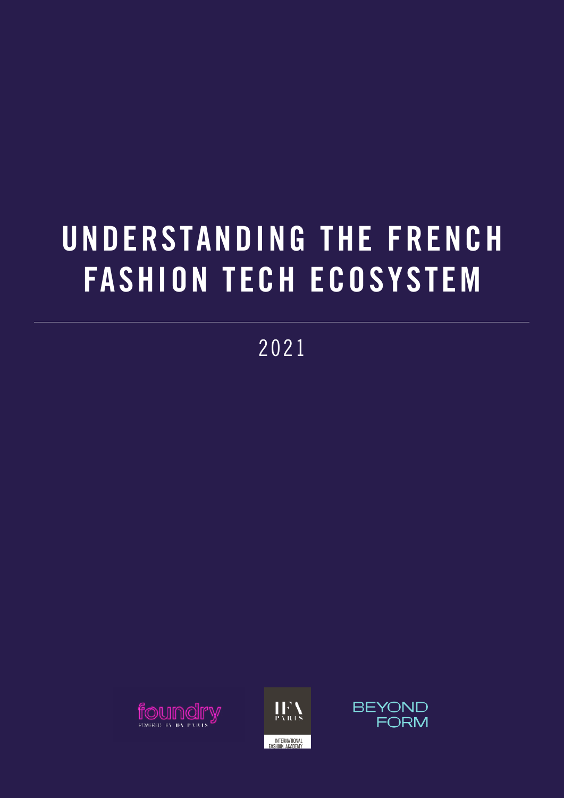# UNDERSTANDING THE FRENCH FASHION TECH ECOSYSTEM

2021





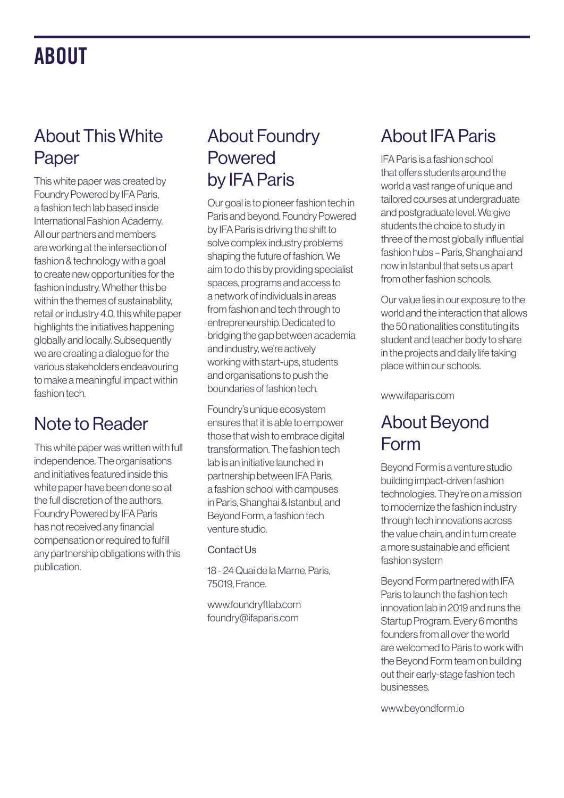### ABOUT

#### About This White Paper

This white paper was created by Foundry Powered by IFA Paris, a fashion tech lab based inside International Fashion Academy. All our partners and members are working at the intersection of fashion & technology with a goal to create new opportunities for the fashion industry. Whether this be within the themes of sustainability, retail or industry 4.0, this white paper highlights the initiatives happening globally and locally. Subsequently we are creating a dialogue for the various stakeholders endeavouring to make a meaningful impact within fashion tech.

#### Note to Reader

This white paper was written with full independence. The organisations and initiatives featured inside this white paper have been done so at the full discretion of the authors. Foundry Powered by IFA Paris has not received any financial compensation or required to fulfill any partnership obligations with this publication.

#### About Foundry Powered by IFA Paris

Our goal is to pioneer fashion tech in Paris and beyond. Foundry Powered by IFA Paris is driving the shift to solve complex industry problems shaping the future of fashion. We aim to do this by providing specialist spaces, programs and access to a network of individuals in areas from fashion and tech through to entrepreneurship. Dedicated to bridging the gap between academia and industry, we're actively working with start-ups, students and organisations to push the boundaries of fashion tech.

Foundry's unique ecosystem ensures that it is able to empower those that wish to embrace digital transformation. The fashion tech lab is an initiative launched in partnership between IFA Paris, a fashion school with campuses in Paris, Shanghai & Istanbul, and Beyond Form, a fashion tech venture studio.

#### Contact Us

18 - 24 Quai de la Marne, Paris, 75019, France.

www.foundryftlab.com foundry@ifaparis.com

#### About IFA Paris

IFA Paris is a fashion school that offers students around the world a vast range of unique and tailored courses at undergraduate and postgraduate level. We give students the choice to study in three of the most globally influential fashion hubs – Paris, Shanghai and now in Istanbul that sets us apart from other fashion schools.

Our value lies in our exposure to the world and the interaction that allows the 50 nationalities constituting its student and teacher body to share in the projects and daily life taking place within our schools.

www.ifaparis.com

#### About Beyond Form

Beyond Form is a venture studio building impact-driven fashion technologies. They're on a mission to modernize the fashion industry through tech innovations across the value chain, and in turn create a more sustainable and efficient fashion system

Beyond Form partnered with IFA Paris to launch the fashion tech innovation lab in 2019 and runs the Startup Program. Every 6 months founders from all over the world are welcomed to Paris to work with the Beyond Form team on building out their early-stage fashion tech businesses.

www.beyondform.io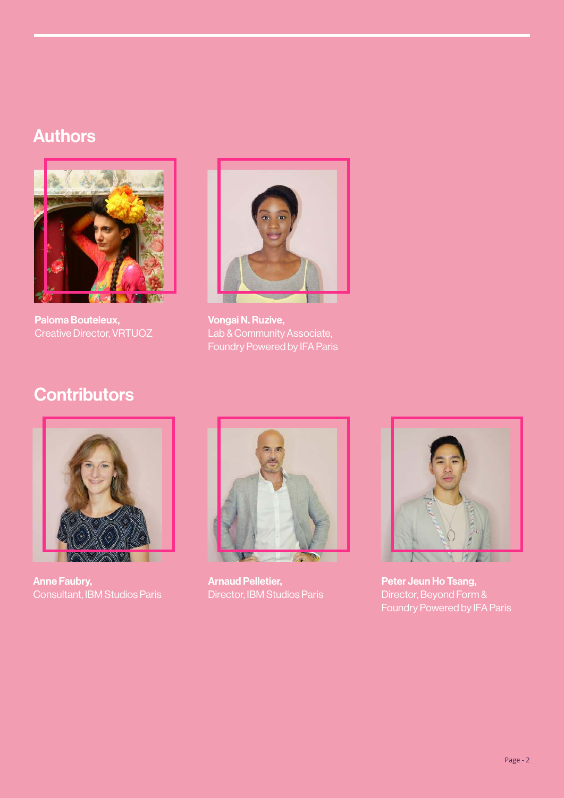#### Authors



Paloma Bouteleux, Creative Director, VRTUOZ



Vongai N. Ruzive, Lab & Community Associate, Foundry Powered by IFA Paris

#### **Contributors**



Anne Faubry, Consultant, IBM Studios Paris



Arnaud Pelletier, Director, IBM Studios Paris



Peter Jeun Ho Tsang, Director, Beyond Form & Foundry Powered by IFA Paris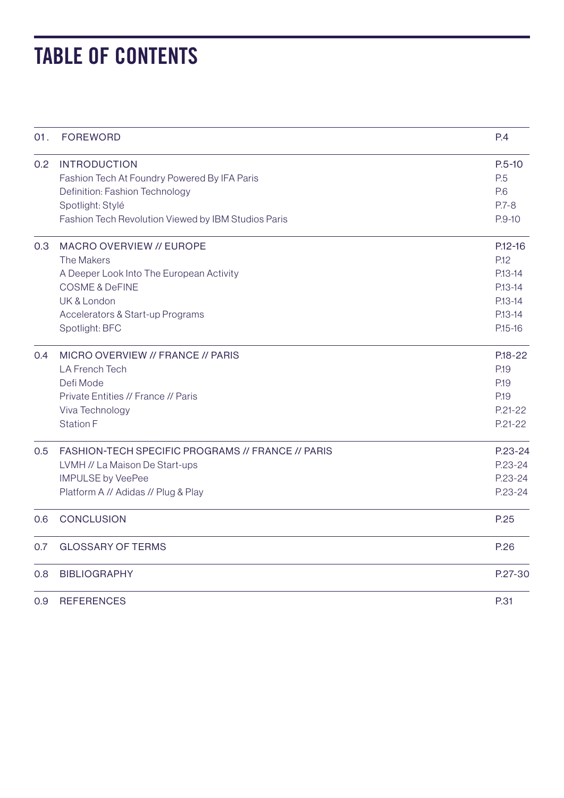### TABLE OF CONTENTS

| 01. | <b>FOREWORD</b>                                     | P.4         |
|-----|-----------------------------------------------------|-------------|
| 0.2 | <b>INTRODUCTION</b>                                 | $P.5 - 10$  |
|     | Fashion Tech At Foundry Powered By IFA Paris        | P.5         |
|     | Definition: Fashion Technology                      | P.6         |
|     | Spotlight: Stylé                                    | $P.7 - 8$   |
|     | Fashion Tech Revolution Viewed by IBM Studios Paris | $P.9-10$    |
| 0.3 | MACRO OVERVIEW // EUROPE                            | $P.12 - 16$ |
|     | The Makers                                          | P.12        |
|     | A Deeper Look Into The European Activity            | P.13-14     |
|     | <b>COSME &amp; DeFINE</b>                           | $P.13 - 14$ |
|     | <b>UK &amp; London</b>                              | $P.13 - 14$ |
|     | Accelerators & Start-up Programs                    | $P.13 - 14$ |
|     | Spotlight: BFC                                      | $P.15-16$   |
| 0.4 | MICRO OVERVIEW // FRANCE // PARIS                   | P.18-22     |
|     | <b>LA French Tech</b>                               | P.19        |
|     | Defi Mode                                           | P.19        |
|     | Private Entities // France // Paris                 | P.19        |
|     | Viva Technology                                     | $P.21 - 22$ |
|     | Station F                                           | $P.21 - 22$ |
| 0.5 | FASHION-TECH SPECIFIC PROGRAMS // FRANCE // PARIS   | P.23-24     |
|     | LVMH // La Maison De Start-ups                      | P.23-24     |
|     | <b>IMPULSE by VeePee</b>                            | P.23-24     |
|     | Platform A // Adidas // Plug & Play                 | P.23-24     |
| 0.6 | <b>CONCLUSION</b>                                   | P.25        |
| 0.7 | <b>GLOSSARY OF TERMS</b>                            | P.26        |
| 0.8 | <b>BIBLIOGRAPHY</b>                                 | P.27-30     |
| 0.9 | <b>REFERENCES</b>                                   | P.31        |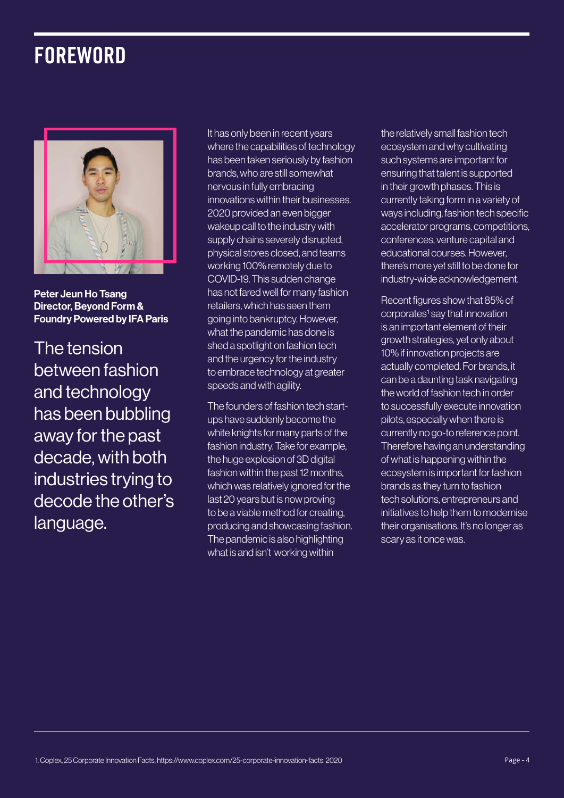### **FOREWORD**



Peter Jeun Ho Tsang Director, Beyond Form & Foundry Powered by IFA Paris

The tension between fashion and technology has been bubbling away for the past decade, with both industries trying to decode the other's language.

It has only been in recent years where the capabilities of technology has been taken seriously by fashion brands, who are still somewhat nervous in fully embracing innovations within their businesses. 2020 provided an even bigger wakeup call to the industry with supply chains severely disrupted, physical stores closed, and teams working 100% remotely due to COVID-19. This sudden change has not fared well for many fashion retailers, which has seen them going into bankruptcy. However, what the pandemic has done is shed a spotlight on fashion tech and the urgency for the industry to embrace technology at greater speeds and with agility.

The founders of fashion tech startups have suddenly become the white knights for many parts of the fashion industry. Take for example, the huge explosion of 3D digital fashion within the past 12 months, which was relatively ignored for the last 20 years but is now proving to be a viable method for creating, producing and showcasing fashion. The pandemic is also highlighting what is and isn't working within

the relatively small fashion tech ecosystem and why cultivating such systems are important for ensuring that talent is supported in their growth phases. This is currently taking form in a variety of ways including, fashion tech specific accelerator programs, competitions, conferences, venture capital and educational courses. However, there's more yet still to be done for industry-wide acknowledgement.

Recent figures show that 85% of corporates<sup>1</sup> say that innovation is an important element of their growth strategies, yet only about 10% if innovation projects are actually completed. For brands, it can be a daunting task navigating the world of fashion tech in order to successfully execute innovation pilots, especially when there is currently no go-to reference point. Therefore having an understanding of what is happening within the ecosystem is important for fashion brands as they turn to fashion tech solutions, entrepreneurs and initiatives to help them to modernise their organisations. It's no longer as scary as it once was.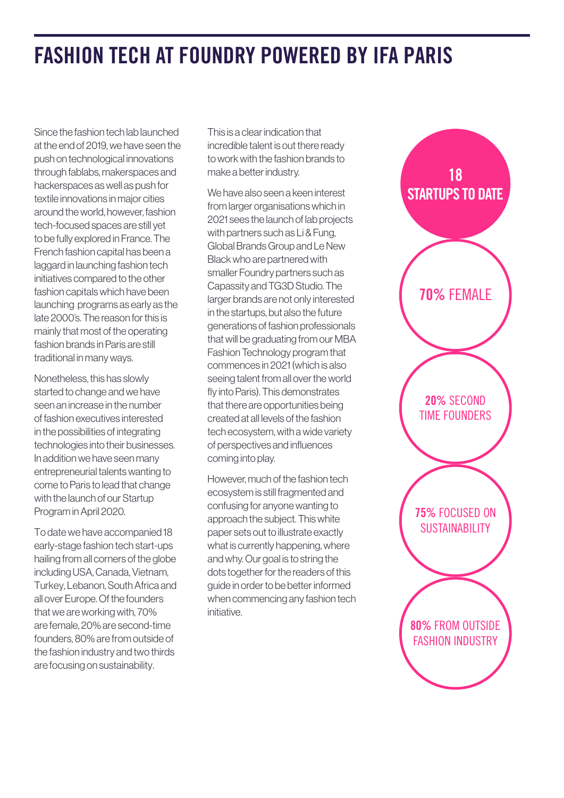### FASHION TECH AT FOUNDRY POWERED BY IFA PARIS

Since the fashion tech lab launched at the end of 2019, we have seen the push on technological innovations through fablabs, makerspaces and hackerspaces as well as push for textile innovations in major cities around the world, however, fashion tech-focused spaces are still yet to be fully explored in France. The French fashion capital has been a laggard in launching fashion tech initiatives compared to the other fashion capitals which have been launching programs as early as the late 2000's. The reason for this is mainly that most of the operating fashion brands in Paris are still traditional in many ways.

Nonetheless, this has slowly started to change and we have seen an increase in the number of fashion executives interested in the possibilities of integrating technologies into their businesses. In addition we have seen many entrepreneurial talents wanting to come to Paris to lead that change with the launch of our Startup Program in April 2020.

To date we have accompanied 18 early-stage fashion tech start-ups hailing from all corners of the globe including USA, Canada, Vietnam, Turkey, Lebanon, South Africa and all over Europe. Of the founders that we are working with, 70% are female, 20% are second-time founders, 80% are from outside of the fashion industry and two thirds are focusing on sustainability.

This is a clear indication that incredible talent is out there ready to work with the fashion brands to make a better industry.

We have also seen a keen interest from larger organisations which in 2021 sees the launch of lab projects with partners such as Li & Fung, Global Brands Group and Le New Black who are partnered with smaller Foundry partners such as Capassity and TG3D Studio. The larger brands are not only interested in the startups, but also the future generations of fashion professionals that will be graduating from our MBA Fashion Technology program that commences in 2021 (which is also seeing talent from all over the world fly into Paris). This demonstrates that there are opportunities being created at all levels of the fashion tech ecosystem, with a wide variety of perspectives and influences coming into play.

However, much of the fashion tech ecosystem is still fragmented and confusing for anyone wanting to approach the subject. This white paper sets out to illustrate exactly what is currently happening, where and why. Our goal is to string the dots together for the readers of this guide in order to be better informed when commencing any fashion tech initiative.

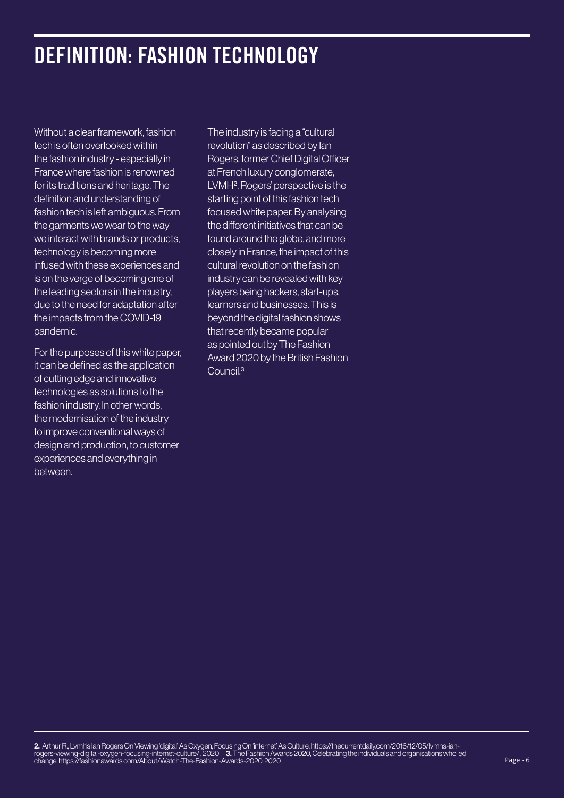### DEFINITION: FASHION TECHNOLOGY

Without a clear framework, fashion tech is often overlooked within the fashion industry - especially in France where fashion is renowned for its traditions and heritage. The definition and understanding of fashion tech is left ambiguous. From the garments we wear to the way we interact with brands or products, technology is becoming more infused with these experiences and is on the verge of becoming one of the leading sectors in the industry, due to the need for adaptation after the impacts from the COVID-19 pandemic.

For the purposes of this white paper, it can be defined as the application of cutting edge and innovative technologies as solutions to the fashion industry. In other words, the modernisation of the industry to improve conventional ways of design and production, to customer experiences and everything in between.

The industry is facing a "cultural revolution" as described by Ian Rogers, former Chief Digital Officer at French luxury conglomerate, LVMH2. Rogers' perspective is the starting point of this fashion tech focused white paper. By analysing the different initiatives that can be found around the globe, and more closely in France, the impact of this cultural revolution on the fashion industry can be revealed with key players being hackers, start-ups, learners and businesses. This is beyond the digital fashion shows that recently became popular as pointed out by The Fashion Award 2020 by the British Fashion Council.<sup>3</sup>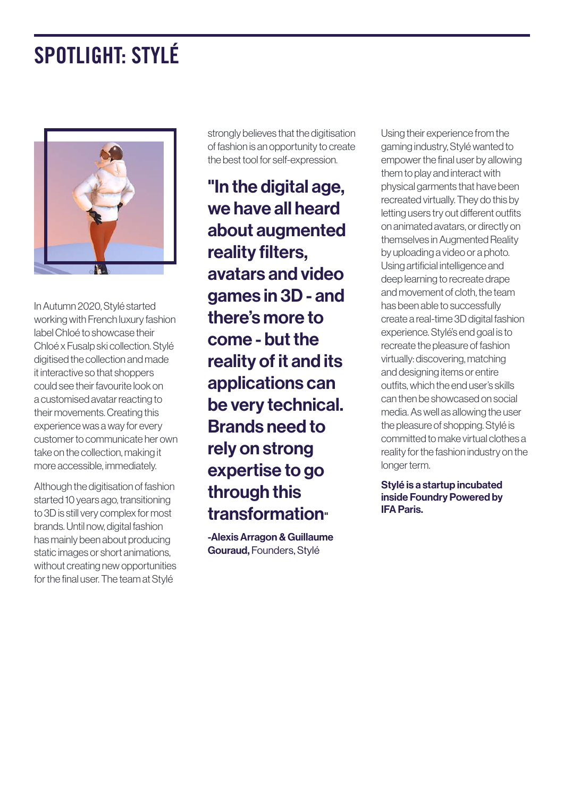## SPOTLIGHT: STYLÉ



In Autumn 2020, Stylé started working with French luxury fashion label Chloé to showcase their Chloé x Fusalp ski collection. Stylé digitised the collection and made it interactive so that shoppers could see their favourite look on a customised avatar reacting to their movements. Creating this experience was a way for every customer to communicate her own take on the collection, making it more accessible, immediately.

Although the digitisation of fashion started 10 years ago, transitioning to 3D is still very complex for most brands. Until now, digital fashion has mainly been about producing static images or short animations, without creating new opportunities for the final user. The team at Stylé

strongly believes that the digitisation of fashion is an opportunity to create the best tool for self-expression.

"In the digital age, we have all heard about augmented reality filters, avatars and video games in 3D - and there's more to come - but the reality of it and its applications can be very technical. Brands need to rely on strong expertise to go through this transformation"

-Alexis Arragon & Guillaume Gouraud, Founders, Stylé

Using their experience from the gaming industry, Stylé wanted to empower the final user by allowing them to play and interact with physical garments that have been recreated virtually. They do this by letting users try out different outfits on animated avatars, or directly on themselves in Augmented Reality by uploading a video or a photo. Using artificial intelligence and deep learning to recreate drape and movement of cloth, the team has been able to successfully create a real-time 3D digital fashion experience. Stylé's end goal is to recreate the pleasure of fashion virtually: discovering, matching and designing items or entire outfits, which the end user's skills can then be showcased on social media. As well as allowing the user the pleasure of shopping. Stylé is committed to make virtual clothes a reality for the fashion industry on the longer term.

Stylé is a startup incubated inside Foundry Powered by IFA Paris.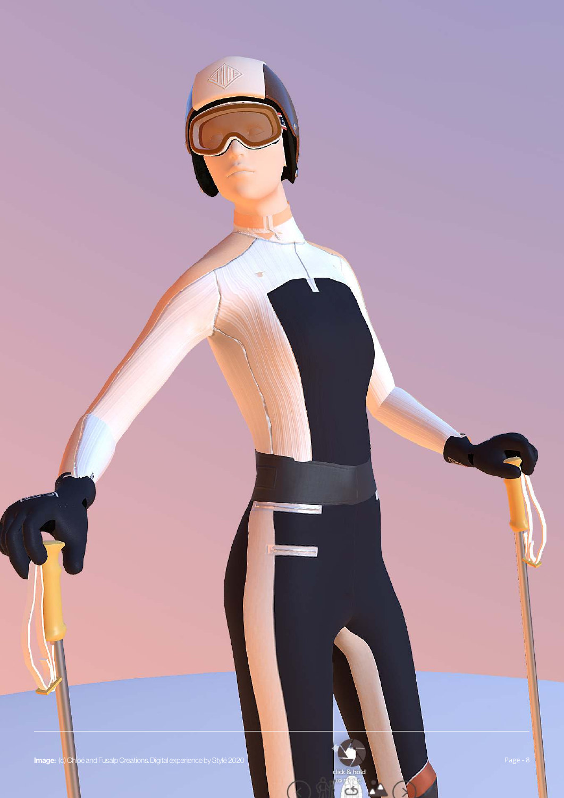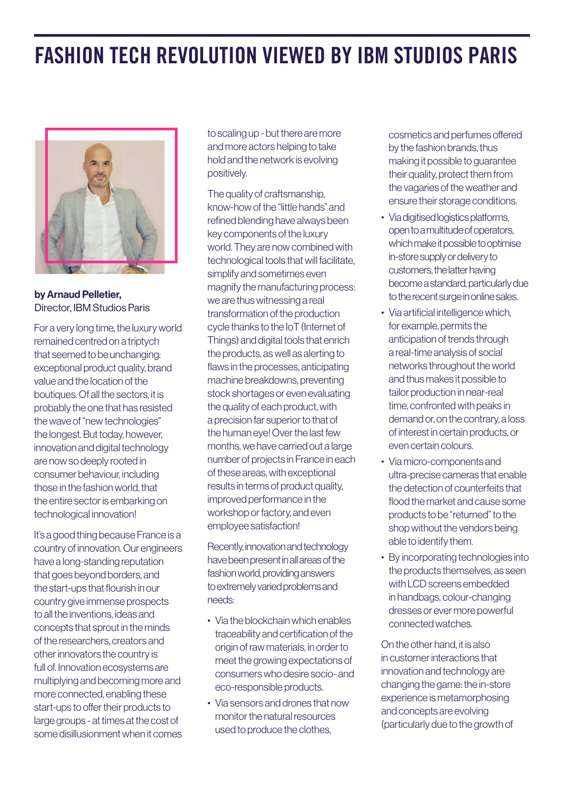### FASHION TECH REVOLUTION VIEWED BY IBM STUDIOS PARIS



by Arnaud Pelletier, Director, IBM Studios Paris

For a very long time, the luxury world remained centred on a triptych that seemed to be unchanging: exceptional product quality, brand value and the location of the boutiques. Of all the sectors, it is probably the one that has resisted the wave of "new technologies" the longest. But today, however, innovation and digital technology are now so deeply rooted in consumer behaviour, including those in the fashion world, that the entire sector is embarking on technological innovation!

It's a good thing because France is a country of innovation. Our engineers have a long-standing reputation that goes beyond borders, and the start-ups that flourish in our country give immense prospects to all the inventions, ideas and concepts that sprout in the minds of the researchers, creators and other innovators the country is full of. Innovation ecosystems are multiplying and becoming more and more connected, enabling these start-ups to offer their products to large groups - at times at the cost of some disillusionment when it comes

to scaling up - but there are more and more actors helping to take hold and the network is evolving positively.

The quality of craftsmanship, know-how of the "little hands" and refined blending have always been key components of the luxury world. They are now combined with technological tools that will facilitate, simplify and sometimes even magnify the manufacturing process: we are thus witnessing a real transformation of the production cycle thanks to the IoT (Internet of Things) and digital tools that enrich the products, as well as alerting to flaws in the processes, anticipating machine breakdowns, preventing stock shortages or even evaluating the quality of each product, with a precision far superior to that of the human eye! Over the last few months, we have carried out a large number of projects in France in each of these areas, with exceptional results in terms of product quality, improved performance in the workshop or factory, and even employee satisfaction!

Recently, innovation and technology have been present in all areas of the fashion world, providing answers to extremely varied problems and needs:

- Via the blockchain which enables traceability and certification of the origin of raw materials, in order to meet the growing expectations of consumers who desire socio- and eco-responsible products.
- Via sensors and drones that now monitor the natural resources used to produce the clothes,

cosmetics and perfumes offered by the fashion brands, thus making it possible to guarantee their quality, protect them from the vagaries of the weather and ensure their storage conditions.

- Via digitised logistics platforms, open to a multitude of operators, which make it possible to optimise in-store supply or delivery to customers, the latter having become a standard, particularly due to the recent surge in online sales.
- Via artificial intelligence which, for example, permits the anticipation of trends through a real-time analysis of social networks throughout the world and thus makes it possible to tailor production in near-real time, confronted with peaks in demand or, on the contrary, a loss of interest in certain products, or even certain colours.
- Via micro-components and ultra-precise cameras that enable the detection of counterfeits that flood the market and cause some products to be "returned" to the shop without the vendors being able to identify them.
- By incorporating technologies into the products themselves, as seen with LCD screens embedded in handbags, colour-changing dresses or ever more powerful connected watches.

On the other hand, it is also in customer interactions that innovation and technology are changing the game: the in-store experience is metamorphosing and concepts are evolving (particularly due to the growth of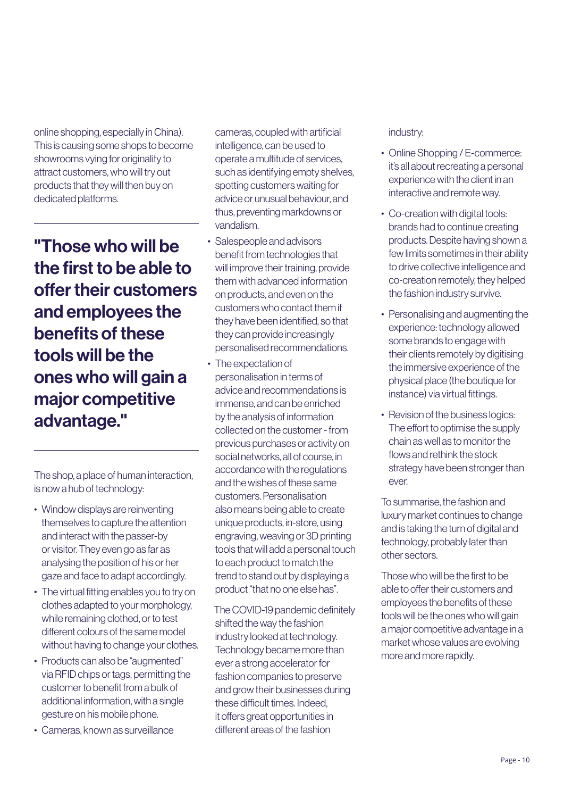online shopping, especially in China). This is causing some shops to become showrooms vying for originality to attract customers, who will try out products that they will then buy on dedicated platforms.

"Those who will be the first to be able to offer their customers and employees the benefits of these tools will be the ones who will gain a major competitive advantage."

The shop, a place of human interaction, is now a hub of technology:

- Window displays are reinventing themselves to capture the attention and interact with the passer-by or visitor. They even go as far as analysing the position of his or her gaze and face to adapt accordingly.
- The virtual fitting enables you to try on clothes adapted to your morphology, while remaining clothed, or to test different colours of the same model without having to change your clothes.
- Products can also be "augmented" via RFID chips or tags, permitting the customer to benefit from a bulk of additional information, with a single gesture on his mobile phone.
- Cameras, known as surveillance

cameras, coupled with artificial intelligence, can be used to operate a multitude of services, such as identifying empty shelves, spotting customers waiting for advice or unusual behaviour, and thus, preventing markdowns or vandalism.

- Salespeople and advisors benefit from technologies that will improve their training, provide them with advanced information on products, and even on the customers who contact them if they have been identified, so that they can provide increasingly personalised recommendations.
- The expectation of personalisation in terms of advice and recommendations is immense, and can be enriched by the analysis of information collected on the customer - from previous purchases or activity on social networks, all of course, in accordance with the regulations and the wishes of these same customers. Personalisation also means being able to create unique products, in-store, using engraving, weaving or 3D printing tools that will add a personal touch to each product to match the trend to stand out by displaying a product "that no one else has".

 The COVID-19 pandemic definitely shifted the way the fashion industry looked at technology. Technology became more than ever a strong accelerator for fashion companies to preserve and grow their businesses during these difficult times. Indeed, it offers great opportunities in different areas of the fashion

#### industry:

- Online Shopping / E-commerce: it's all about recreating a personal experience with the client in an interactive and remote way.
- Co-creation with digital tools: brands had to continue creating products. Despite having shown a few limits sometimes in their ability to drive collective intelligence and co-creation remotely, they helped the fashion industry survive.
- Personalising and augmenting the experience: technology allowed some brands to engage with their clients remotely by digitising the immersive experience of the physical place (the boutique for instance) via virtual fittings.
- Revision of the business logics: The effort to optimise the supply chain as well as to monitor the flows and rethink the stock strategy have been stronger than ever.

To summarise, the fashion and luxury market continues to change and is taking the turn of digital and technology, probably later than other sectors.

Those who will be the first to be able to offer their customers and employees the benefits of these tools will be the ones who will gain a major competitive advantage in a market whose values are evolving more and more rapidly.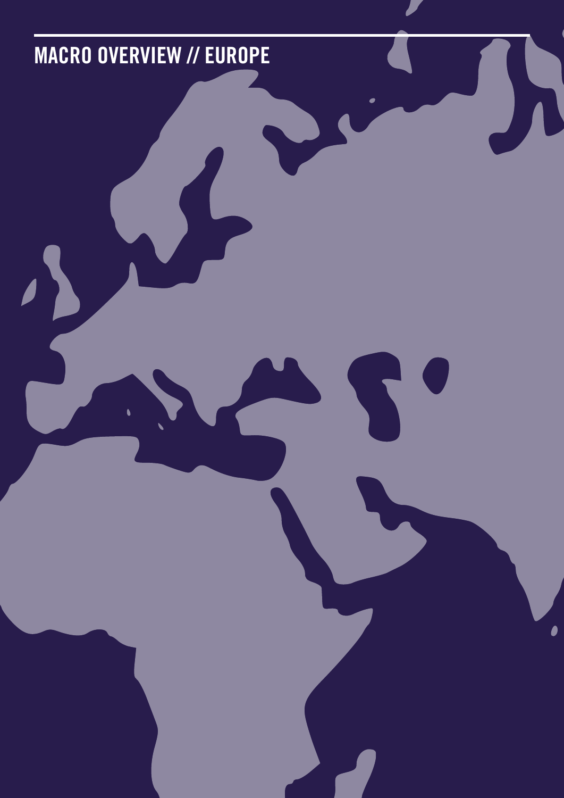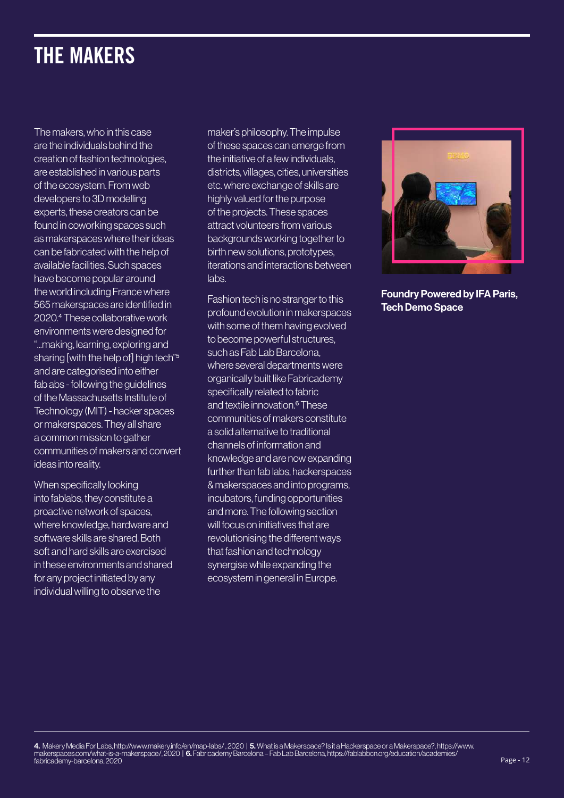### THE MAKERS

The makers, who in this case are the individuals behind the creation of fashion technologies, are established in various parts of the ecosystem. From web developers to 3D modelling experts, these creators can be found in coworking spaces such as makerspaces where their ideas can be fabricated with the help of available facilities. Such spaces have become popular around the world including France where 565 makerspaces are identified in 2020.4 These collaborative work environments were designed for "...making, learning, exploring and sharing [with the help of] high tech"<sup>5</sup> and are categorised into either fab abs - following the guidelines of the Massachusetts Institute of Technology (MIT) - hacker spaces or makerspaces. They all share a common mission to gather communities of makers and convert ideas into reality.

When specifically looking into fablabs, they constitute a proactive network of spaces, where knowledge, hardware and software skills are shared. Both soft and hard skills are exercised in these environments and shared for any project initiated by any individual willing to observe the

maker's philosophy. The impulse of these spaces can emerge from the initiative of a few individuals, districts, villages, cities, universities etc. where exchange of skills are highly valued for the purpose of the projects. These spaces attract volunteers from various backgrounds working together to birth new solutions, prototypes, iterations and interactions between labs.

Fashion tech is no stranger to this profound evolution in makerspaces with some of them having evolved to become powerful structures, such as Fab Lab Barcelona, where several departments were organically built like Fabricademy specifically related to fabric and textile innovation.6 These communities of makers constitute a solid alternative to traditional channels of information and knowledge and are now expanding further than fab labs, hackerspaces & makerspaces and into programs, incubators, funding opportunities and more. The following section will focus on initiatives that are revolutionising the different ways that fashion and technology synergise while expanding the ecosystem in general in Europe.



Foundry Powered by IFA Paris, Tech Demo Space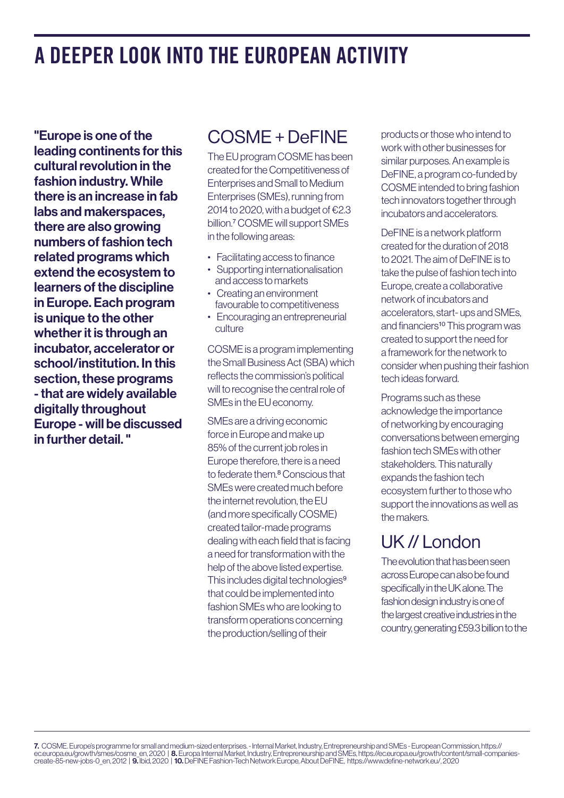### A DEEPER LOOK INTO THE EUROPEAN ACTIVITY

"Europe is one of the leading continents for this cultural revolution in the fashion industry. While there is an increase in fab labs and makerspaces, there are also growing numbers of fashion tech related programs which extend the ecosystem to learners of the discipline in Europe. Each program is unique to the other whether it is through an incubator, accelerator or school/institution. In this section, these programs - that are widely available digitally throughout Europe - will be discussed in further detail. "

#### COSME + DeFINE

The EU program COSME has been created for the Competitiveness of Enterprises and Small to Medium Enterprises (SMEs), running from 2014 to 2020, with a budget of  $E$ 2.3 billion.7 COSME will support SMEs in the following areas:

- Facilitating access to finance
- Supporting internationalisation and access to markets
- Creating an environment favourable to competitiveness
- Encouraging an entrepreneurial culture

COSME is a program implementing the Small Business Act (SBA) which reflects the commission's political will to recognise the central role of SMEs in the EU economy.

SMEs are a driving economic force in Europe and make up 85% of the current job roles in Europe therefore, there is a need to federate them.<sup>8</sup> Conscious that SMEs were created much before the internet revolution, the EU (and more specifically COSME) created tailor-made programs dealing with each field that is facing a need for transformation with the help of the above listed expertise. This includes digital technologies<sup>9</sup> that could be implemented into fashion SMEs who are looking to transform operations concerning the production/selling of their

products or those who intend to work with other businesses for similar purposes. An example is DeFINE, a program co-funded by COSME intended to bring fashion tech innovators together through incubators and accelerators.

DeFINE is a network platform created for the duration of 2018 to 2021. The aim of DeFINE is to take the pulse of fashion tech into Europe, create a collaborative network of incubators and accelerators, start- ups and SMEs, and financiers<sup>10</sup> This program was created to support the need for a framework for the network to consider when pushing their fashion tech ideas forward.

Programs such as these acknowledge the importance of networking by encouraging conversations between emerging fashion tech SMEs with other stakeholders. This naturally expands the fashion tech ecosystem further to those who support the innovations as well as the makers.

#### UK // London

The evolution that has been seen across Europe can also be found specifically in the UK alone. The fashion design industry is one of the largest creative industries in the country, generating £59.3 billion to the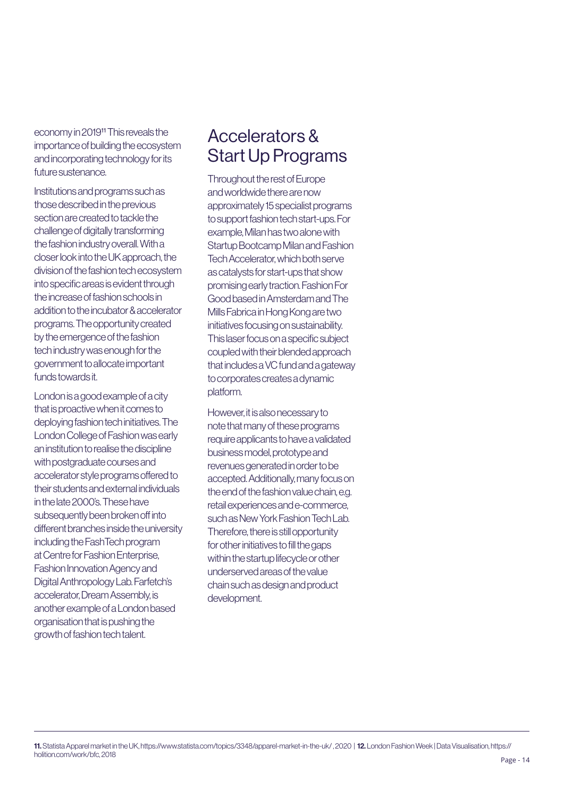economy in 201911 This reveals the importance of building the ecosystem and incorporating technology for its future sustenance.

Institutions and programs such as those described in the previous section are created to tackle the challenge of digitally transforming the fashion industry overall. With a closer look into the UK approach, the division of the fashion tech ecosystem into specific areas is evident through the increase of fashion schools in addition to the incubator & accelerator programs. The opportunity created by the emergence of the fashion tech industry was enough for the government to allocate important funds towards it.

London is a good example of a city that is proactive when it comes to deploying fashion tech initiatives. The London College of Fashion was early an institution to realise the discipline with postgraduate courses and accelerator style programs offered to their students and external individuals in the late 2000's. These have subsequently been broken off into different branches inside the university including the FashTech program at Centre for Fashion Enterprise, Fashion Innovation Agency and Digital Anthropology Lab. Farfetch's accelerator, Dream Assembly, is another example of a London based organisation that is pushing the growth of fashion tech talent.

#### Accelerators & Start Up Programs

Throughout the rest of Europe and worldwide there are now approximately 15 specialist programs to support fashion tech start-ups. For example, Milan has two alone with Startup Bootcamp Milan and Fashion Tech Accelerator, which both serve as catalysts for start-ups that show promising early traction. Fashion For Good based in Amsterdam and The Mills Fabrica in Hong Kong are two initiatives focusing on sustainability. This laser focus on a specific subject coupled with their blended approach that includes a VC fund and a gateway to corporates creates a dynamic platform.

However, it is also necessary to note that many of these programs require applicants to have a validated business model, prototype and revenues generated in order to be accepted. Additionally, many focus on the end of the fashion value chain, e.g. retail experiences and e-commerce, such as New York Fashion Tech Lab. Therefore, there is still opportunity for other initiatives to fill the gaps within the startup lifecycle or other underserved areas of the value chain such as design and product development.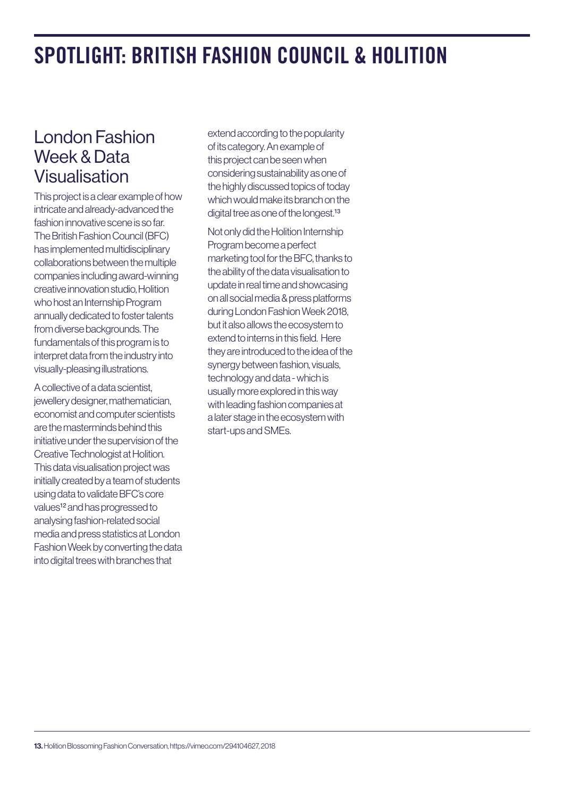### SPOTLIGHT: BRITISH FASHION COUNCIL & HOLITION

#### London Fashion Week & Data Visualisation

This project is a clear example of how intricate and already-advanced the fashion innovative scene is so far. The British Fashion Council (BFC) has implemented multidisciplinary collaborations between the multiple companies including award-winning creative innovation studio, Holition who host an Internship Program annually dedicated to foster talents from diverse backgrounds. The fundamentals of this program is to interpret data from the industry into visually-pleasing illustrations.

A collective of a data scientist, jewellery designer, mathematician, economist and computer scientists are the masterminds behind this initiative under the supervision of the Creative Technologist at Holition. This data visualisation project was initially created by a team of students using data to validate BFC's core values<sup>12</sup> and has progressed to analysing fashion-related social media and press statistics at London Fashion Week by converting the data into digital trees with branches that

extend according to the popularity of its category. An example of this project can be seen when considering sustainability as one of the highly discussed topics of today which would make its branch on the digital tree as one of the longest.<sup>13</sup>

Not only did the Holition Internship Program become a perfect marketing tool for the BFC, thanks to the ability of the data visualisation to update in real time and showcasing on all social media & press platforms during London Fashion Week 2018, but it also allows the ecosystem to extend to interns in this field. Here they are introduced to the idea of the synergy between fashion, visuals, technology and data - which is usually more explored in this way with leading fashion companies at a later stage in the ecosystem with start-ups and SMEs.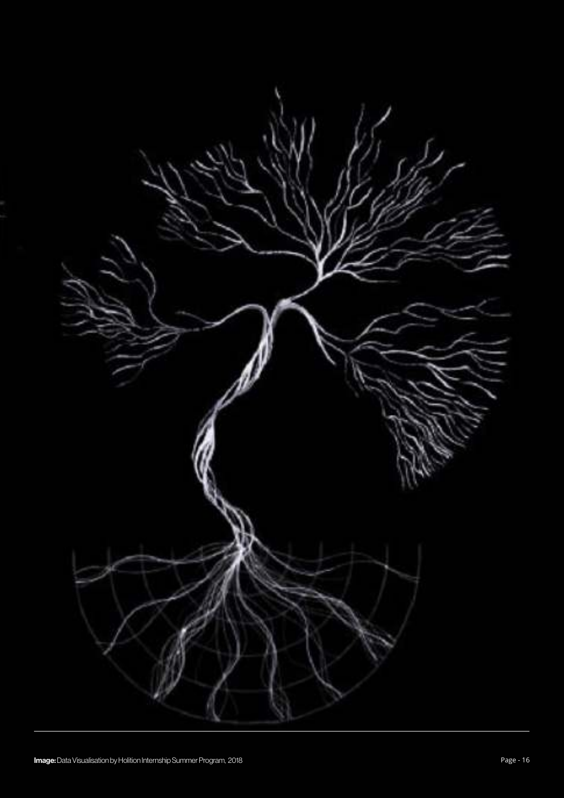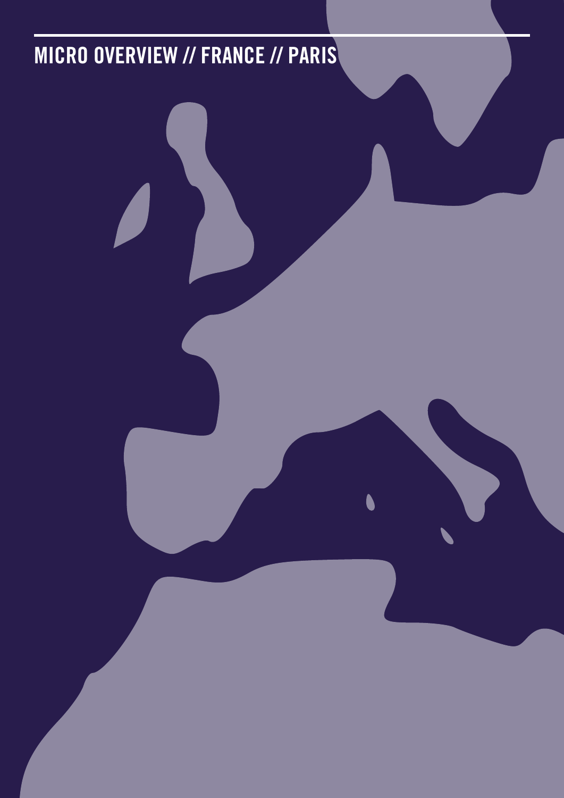## MICRO OVERVIEW // FRANCE // PARIS

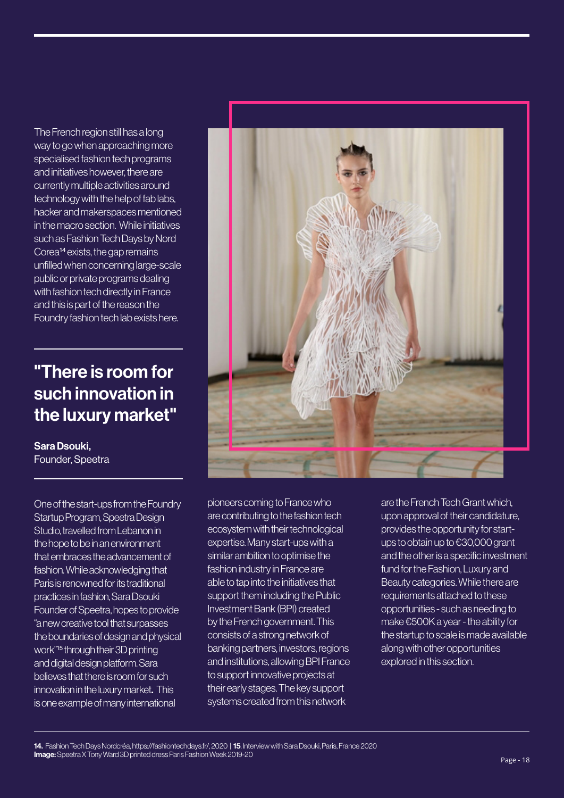The French region still has a long way to go when approaching more specialised fashion tech programs and initiatives however, there are currently multiple activities around technology with the help of fab labs, hacker and makerspaces mentioned in the macro section. While initiatives such as Fashion Tech Days by Nord Corea14 exists, the gap remains unfilled when concerning large-scale public or private programs dealing with fashion tech directly in France and this is part of the reason the Foundry fashion tech lab exists here.

#### "There is room for such innovation in the luxury market"

Sara Dsouki, Founder, Speetra

One of the start-ups from the Foundry Startup Program, Speetra Design Studio, travelled from Lebanon in the hope to be in an environment that embraces the advancement of fashion. While acknowledging that Paris is renowned for its traditional practices in fashion, Sara Dsouki Founder of Speetra, hopes to provide "a new creative tool that surpasses the boundaries of design and physical work"15 through their 3D printing and digital design platform. Sara believes that there is room for such innovation in the luxury market. This is one example of many international



pioneers coming to France who are contributing to the fashion tech ecosystem with their technological expertise. Many start-ups with a similar ambition to optimise the fashion industry in France are able to tap into the initiatives that support them including the Public Investment Bank (BPI) created by the French government. This consists of a strong network of banking partners, investors, regions and institutions, allowing BPI France to support innovative projects at their early stages. The key support systems created from this network

are the French Tech Grant which, upon approval of their candidature, provides the opportunity for startups to obtain up to €30,000 grant and the other is a specific investment fund for the Fashion, Luxury and Beauty categories. While there are requirements attached to these opportunities - such as needing to make €500K a year - the ability for the startup to scale is made available along with other opportunities explored in this section.

14. Fashion Tech Days Nordcréa, https://fashiontechdays.fr/, 2020 | 15. Interview with Sara Dsouki, Paris, France 2020 **Image:** Speetra X Tony Ward 3D printed dress Paris Fashion Week 2019-20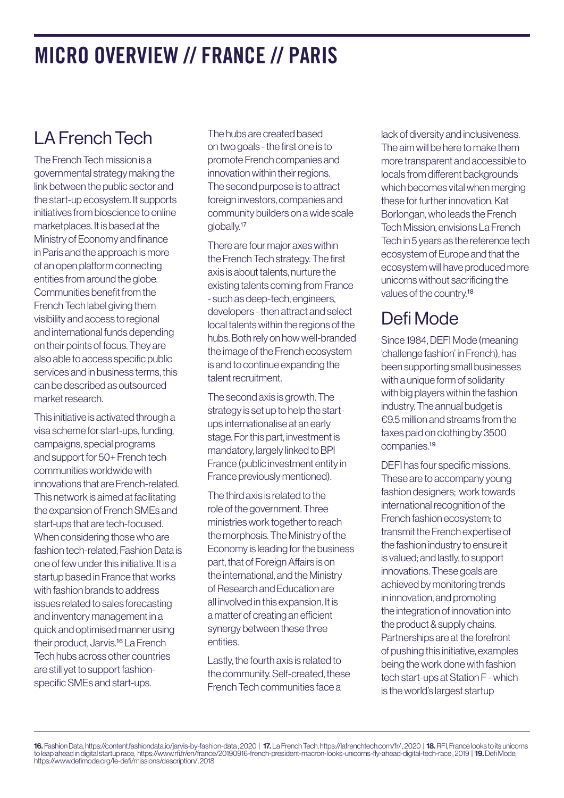### MICRO OVERVIEW // FRANCE // PARIS

### LA French Tech

The French Tech mission is a governmental strategy making the link between the public sector and the start-up ecosystem. It supports initiatives from bioscience to online marketplaces. It is based at the Ministry of Economy and finance in Paris and the approach is more of an open platform connecting entities from around the globe. Communities benefit from the French Tech label giving them visibility and access to regional and international funds depending on their points of focus. They are also able to access specific public services and in business terms, this can be described as outsourced market research.

This initiative is activated through a visa scheme for start-ups, funding, campaigns, special programs and support for 50+ French tech communities worldwide with innovations that are French-related. This network is aimed at facilitating the expansion of French SMEs and start-ups that are tech-focused. When considering those who are fashion tech-related, Fashion Data is one of few under this initiative. It is a startup based in France that works with fashion brands to address issues related to sales forecasting and inventory management in a quick and optimised manner using their product, Jarvis.16 La French Tech hubs across other countries are still yet to support fashionspecific SMEs and start-ups.

The hubs are created based on two goals - the first one is to promote French companies and innovation within their regions. The second purpose is to attract foreign investors, companies and community builders on a wide scale globally.17

There are four major axes within the French Tech strategy. The first axis is about talents, nurture the existing talents coming from France - such as deep-tech, engineers, developers - then attract and select local talents within the regions of the hubs. Both rely on how well-branded the image of the French ecosystem is and to continue expanding the talent recruitment.

The second axis is growth. The strategy is set up to help the startups internationalise at an early stage. For this part, investment is mandatory, largely linked to BPI France (public investment entity in France previously mentioned).

The third axis is related to the role of the government. Three ministries work together to reach the morphosis. The Ministry of the Economy is leading for the business part, that of Foreign Affairs is on the international, and the Ministry of Research and Education are all involved in this expansion. It is a matter of creating an efficient synergy between these three entities.

Lastly, the fourth axis is related to the community. Self-created, these French Tech communities face a

lack of diversity and inclusiveness. The aim will be here to make them more transparent and accessible to locals from different backgrounds which becomes vital when merging these for further innovation. Kat Borlongan, who leads the French Tech Mission, envisions La French Tech in 5 years as the reference tech ecosystem of Europe and that the ecosystem will have produced more unicorns without sacrificing the values of the country.18

#### Defi Mode

Since 1984, DEFI Mode (meaning 'challenge fashion' in French), has been supporting small businesses with a unique form of solidarity with big players within the fashion industry. The annual budget is €9.5 million and streams from the taxes paid on clothing by 3500 companies.19

DEFI has four specific missions. These are to accompany young fashion designers; work towards international recognition of the French fashion ecosystem; to transmit the French expertise of the fashion industry to ensure it is valued; and lastly, to support innovations. These goals are achieved by monitoring trends in innovation, and promoting the integration of innovation into the product & supply chains. Partnerships are at the forefront of pushing this initiative, examples being the work done with fashion tech start-ups at Station F - which is the world's largest startup

16. Fashion Data, https://content.fashiondata.io/jarvis-by-fashion-data , 2020 | 17. La French Tech, https://lafrenchtech.com/fr/ , 2020 | 18. RFI, France looks to its unicorns to leap ahead in digital startup race, https://www.rfi.fr/en/france/20190916-french-president-macron-looks-unicorns-fly-ahead-digital-tech-race , 2019 | 19. Defi Mode, https://www.defimode.org/le-defi/missions/description/, 2018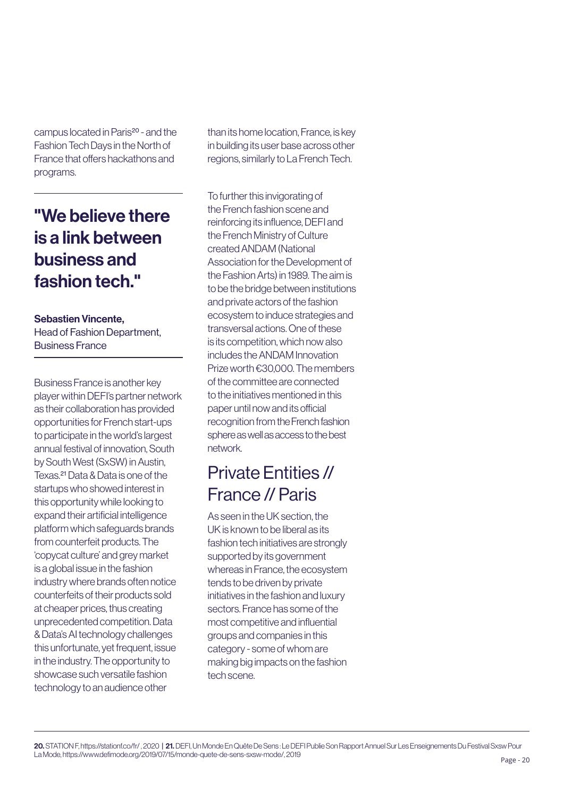campus located in Paris20 - and the Fashion Tech Days in the North of France that offers hackathons and programs.

#### "We believe there is a link between business and fashion tech."

#### Sebastien Vincente,

Head of Fashion Department, Business France

Business France is another key player within DEFI's partner network as their collaboration has provided opportunities for French start-ups to participate in the world's largest annual festival of innovation, South by South West (SxSW) in Austin, Texas.21 Data & Data is one of the startups who showed interest in this opportunity while looking to expand their artificial intelligence platform which safeguards brands from counterfeit products. The 'copycat culture' and grey market is a global issue in the fashion industry where brands often notice counterfeits of their products sold at cheaper prices, thus creating unprecedented competition. Data & Data's AI technology challenges this unfortunate, yet frequent, issue in the industry. The opportunity to showcase such versatile fashion technology to an audience other

than its home location, France, is key in building its user base across other regions, similarly to La French Tech.

To further this invigorating of the French fashion scene and reinforcing its influence, DEFI and the French Ministry of Culture created ANDAM (National Association for the Development of the Fashion Arts) in 1989. The aim is to be the bridge between institutions and private actors of the fashion ecosystem to induce strategies and transversal actions. One of these is its competition, which now also includes the ANDAM Innovation Prize worth €30,000. The members of the committee are connected to the initiatives mentioned in this paper until now and its official recognition from the French fashion sphere as well as access to the best network.

#### Private Entities // France // Paris

As seen in the UK section, the UK is known to be liberal as its fashion tech initiatives are strongly supported by its government whereas in France, the ecosystem tends to be driven by private initiatives in the fashion and luxury sectors. France has some of the most competitive and influential groups and companies in this category - some of whom are making big impacts on the fashion tech scene.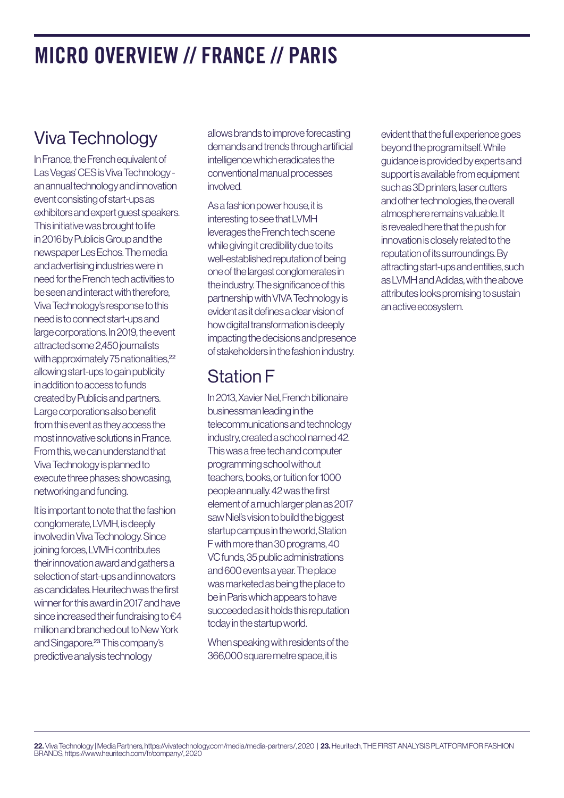### MICRO OVERVIEW // FRANCE // PARIS

### Viva Technology

In France, the French equivalent of Las Vegas' CES is Viva Technology an annual technology and innovation event consisting of start-ups as exhibitors and expert guest speakers. This initiative was brought to life in 2016 by Publicis Group and the newspaper Les Echos. The media and advertising industries were in need for the French tech activities to be seen and interact with therefore, Viva Technology's response to this need is to connect start-ups and large corporations. In 2019, the event attracted some 2,450 journalists with approximately 75 nationalities.<sup>22</sup> allowing start-ups to gain publicity in addition to access to funds created by Publicis and partners. Large corporations also benefit from this event as they access the most innovative solutions in France. From this, we can understand that Viva Technology is planned to execute three phases: showcasing, networking and funding.

It is important to note that the fashion conglomerate, LVMH, is deeply involved in Viva Technology. Since joining forces, LVMH contributes their innovation award and gathers a selection of start-ups and innovators as candidates. Heuritech was the first winner for this award in 2017 and have since increased their fundraising to €4 million and branched out to New York and Singapore.23 This company's predictive analysis technology

allows brands to improve forecasting demands and trends through artificial intelligence which eradicates the conventional manual processes involved.

As a fashion power house, it is interesting to see that LVMH leverages the French tech scene while giving it credibility due to its well-established reputation of being one of the largest conglomerates in the industry. The significance of this partnership with VIVA Technology is evident as it defines a clear vision of how digital transformation is deeply impacting the decisions and presence of stakeholders in the fashion industry.

#### Station F

In 2013, Xavier Niel, French billionaire businessman leading in the telecommunications and technology industry, created a school named 42. This was a free tech and computer programming school without teachers, books, or tuition for 1000 people annually. 42 was the first element of a much larger plan as 2017 saw Niel's vision to build the biggest startup campus in the world, Station F with more than 30 programs, 40 VC funds, 35 public administrations and 600 events a year. The place was marketed as being the place to be in Paris which appears to have succeeded as it holds this reputation today in the startup world.

When speaking with residents of the 366,000 square metre space, it is

evident that the full experience goes beyond the program itself. While guidance is provided by experts and support is available from equipment such as 3D printers, laser cutters and other technologies, the overall atmosphere remains valuable. It is revealed here that the push for innovation is closely related to the reputation of its surroundings. By attracting start-ups and entities, such as LVMH and Adidas, with the above attributes looks promising to sustain an active ecosystem.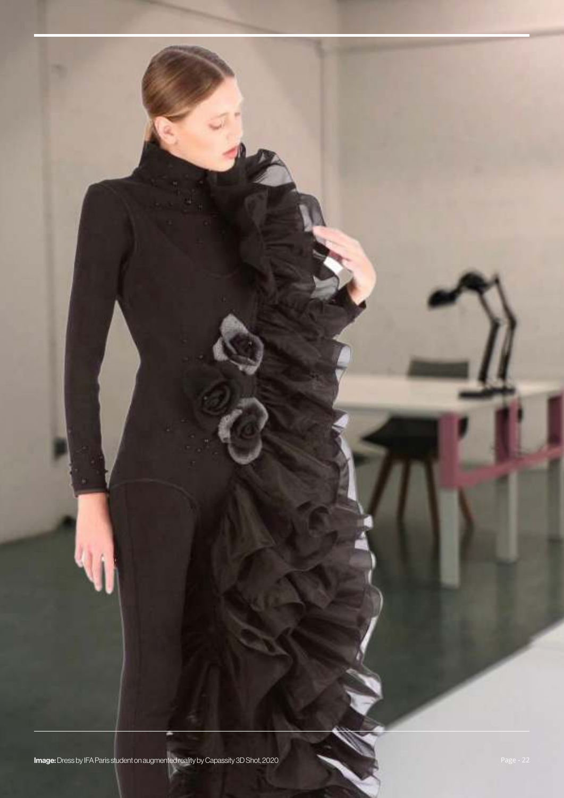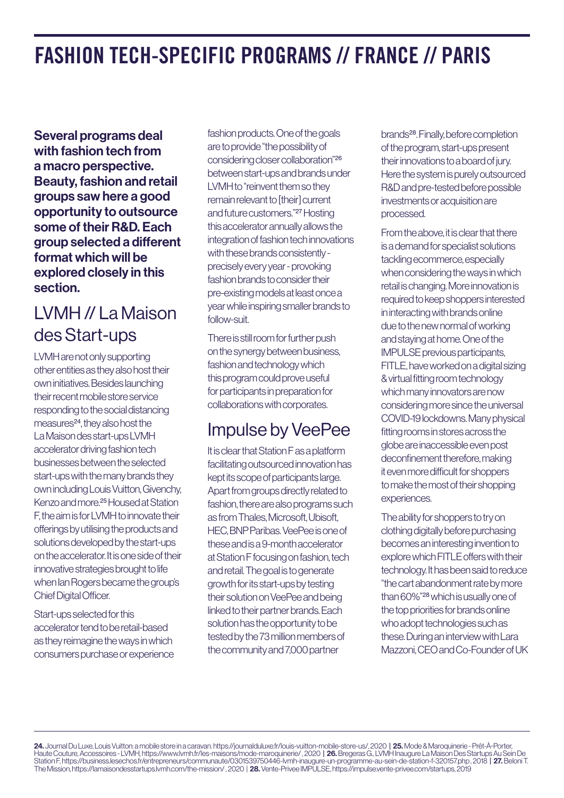### FASHION TECH-SPECIFIC PROGRAMS // FRANCE // PARIS

Several programs deal with fashion tech from a macro perspective. Beauty, fashion and retail groups saw here a good opportunity to outsource some of their R&D. Each group selected a different format which will be explored closely in this section.

#### LVMH // La Maison des Start-ups

LVMH are not only supporting other entities as they also host their own initiatives. Besides launching their recent mobile store service responding to the social distancing measures<sup>24</sup>, they also host the La Maison des start-ups LVMH accelerator driving fashion tech businesses between the selected start-ups with the many brands they own including Louis Vuitton, Givenchy, Kenzo and more.25 Housed at Station F, the aim is for LVMH to innovate their offerings by utilising the products and solutions developed by the start-ups on the accelerator. It is one side of their innovative strategies brought to life when Ian Rogers became the group's Chief Digital Officer.

Start-ups selected for this accelerator tend to be retail-based as they reimagine the ways in which consumers purchase or experience

fashion products. One of the goals are to provide "the possibility of considering closer collaboration"26 between start-ups and brands under LVMH to "reinvent them so they remain relevant to [their] current and future customers."27 Hosting this accelerator annually allows the integration of fashion tech innovations with these brands consistently precisely every year - provoking fashion brands to consider their pre-existing models at least once a year while inspiring smaller brands to follow-suit.

There is still room for further push on the synergy between business, fashion and technology which this program could prove useful for participants in preparation for collaborations with corporates.

#### Impulse by VeePee

It is clear that Station F as a platform facilitating outsourced innovation has kept its scope of participants large. Apart from groups directly related to fashion, there are also programs such as from Thales, Microsoft, Ubisoft, HEC, BNP Paribas. VeePee is one of these and is a 9-month accelerator at Station F focusing on fashion, tech and retail. The goal is to generate growth for its start-ups by testing their solution on VeePee and being linked to their partner brands. Each solution has the opportunity to be tested by the 73 million members of the community and 7,000 partner

brands28. Finally, before completion of the program, start-ups present their innovations to a board of jury. Here the system is purely outsourced R&D and pre-tested before possible investments or acquisition are processed.

From the above, it is clear that there is a demand for specialist solutions tackling ecommerce, especially when considering the ways in which retail is changing. More innovation is required to keep shoppers interested in interacting with brands online due to the new normal of working and staying at home. One of the IMPULSE previous participants, FITLE, have worked on a digital sizing & virtual fitting room technology which many innovators are now considering more since the universal COVID-19 lockdowns. Many physical fitting rooms in stores across the globe are inaccessible even post deconfinement therefore, making it even more difficult for shoppers to make the most of their shopping experiences.

The ability for shoppers to try on clothing digitally before purchasing becomes an interesting invention to explore which FITLE offers with their technology. It has been said to reduce "the cart abandonment rate by more than 60%"28 which is usually one of the top priorities for brands online who adopt technologies such as these. During an interview with Lara Mazzoni, CEO and Co-Founder of UK

24. Journal Du Luxe, Louis Vuitton: a mobile store in a caravan. https://journalduluxe.fr/louis-vuitton-mobile-store-us/, 2020 | 25. Mode & Maroquinerie - Prêt-À-Porter, Haute Couture, Accessoires - LVMH, https://www.lvmh.fr/les-maisons/mode-maroquinerie/ , 2020 | **26.** Bregeras G., LVMH Inaugure La Maison Des Startups Au Sein De Station F, https://business.lesechos.fr/entrepreneurs/communaute/0301539750446-lvmh-inaugure-un-programme-au-sein-de-station-f-320157.php , 2018 | 27. Beloni T. The Mission, https://lamaisondesstartups.lvmh.com/the-mission/ , 2020 | 28. Vente-Privee IMPULSE, https://impulse.vente-privee.com/startups, 2019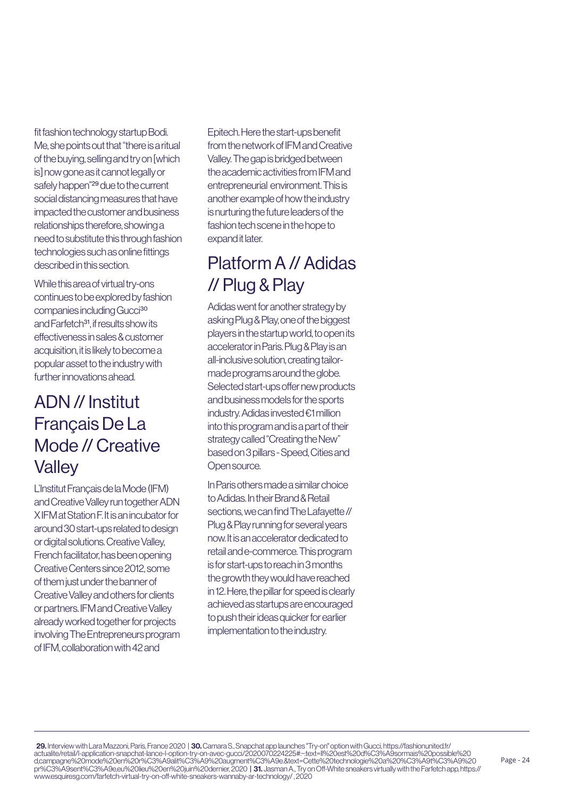fit fashion technology startup Bodi. Me, she points out that "there is a ritual of the buying, selling and try on [which is] now gone as it cannot legally or safely happen"29 due to the current social distancing measures that have impacted the customer and business relationships therefore, showing a need to substitute this through fashion technologies such as online fittings described in this section.

While this area of virtual try-ons continues to be explored by fashion companies including Gucci<sup>30</sup> and Farfetch<sup>31</sup>, if results show its effectiveness in sales & customer acquisition, it is likely to become a popular asset to the industry with further innovations ahead.

#### ADN // Institut Français De La Mode // Creative **Valley**

L'Institut Français de la Mode (IFM) and Creative Valley run together ADN X IFM at Station F. It is an incubator for around 30 start-ups related to design or digital solutions. Creative Valley, French facilitator, has been opening Creative Centers since 2012, some of them just under the banner of Creative Valley and others for clients or partners. IFM and Creative Valley already worked together for projects involving The Entrepreneurs program of IFM, collaboration with 42 and

Epitech. Here the start-ups benefit from the network of IFM and Creative Valley. The gap is bridged between the academic activities from IFM and entrepreneurial environment. This is another example of how the industry is nurturing the future leaders of the fashion tech scene in the hope to expand it later.

#### Platform A // Adidas // Plug & Play

Adidas went for another strategy by asking Plug & Play, one of the biggest players in the startup world, to open its accelerator in Paris. Plug & Play is an all-inclusive solution, creating tailormade programs around the globe. Selected start-ups offer new products and business models for the sports industry. Adidas invested €1 million into this program and is a part of their strategy called "Creating the New" based on 3 pillars - Speed, Cities and Open source.

In Paris others made a similar choice to Adidas. In their Brand & Retail sections, we can find The Lafayette // Plug & Play running for several years now. It is an accelerator dedicated to retail and e-commerce. This program is for start-ups to reach in 3 months the growth they would have reached in 12. Here, the pillar for speed is clearly achieved as startups are encouraged to push their ideas quicker for earlier implementation to the industry.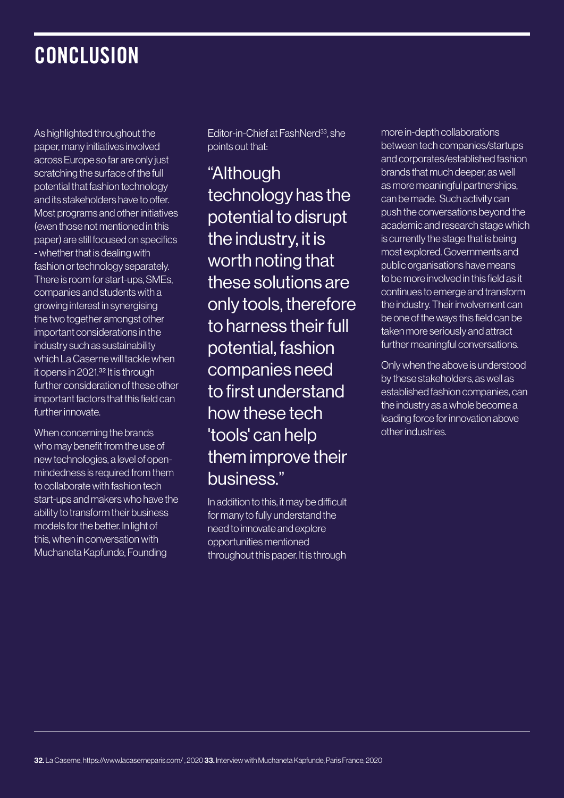### **CONCLUSION**

As highlighted throughout the paper, many initiatives involved across Europe so far are only just scratching the surface of the full potential that fashion technology and its stakeholders have to offer. Most programs and other initiatives (even those not mentioned in this paper) are still focused on specifics - whether that is dealing with fashion or technology separately. There is room for start-ups, SMEs, companies and students with a growing interest in synergising the two together amongst other important considerations in the industry such as sustainability which La Caserne will tackle when it opens in 2021.32 It is through further consideration of these other important factors that this field can further innovate.

When concerning the brands who may benefit from the use of new technologies, a level of openmindedness is required from them to collaborate with fashion tech start-ups and makers who have the ability to transform their business models for the better. In light of this, when in conversation with Muchaneta Kapfunde, Founding

Editor-in-Chief at FashNerd<sup>33</sup>, she points out that:

"Although technology has the potential to disrupt the industry, it is worth noting that these solutions are only tools, therefore to harness their full potential, fashion companies need to first understand how these tech 'tools' can help them improve their business."

In addition to this, it may be difficult for many to fully understand the need to innovate and explore opportunities mentioned throughout this paper. It is through more in-depth collaborations between tech companies/startups and corporates/established fashion brands that much deeper, as well as more meaningful partnerships, can be made. Such activity can push the conversations beyond the academic and research stage which is currently the stage that is being most explored. Governments and public organisations have means to be more involved in this field as it continues to emerge and transform the industry. Their involvement can be one of the ways this field can be taken more seriously and attract further meaningful conversations.

Only when the above is understood by these stakeholders, as well as established fashion companies, can the industry as a whole become a leading force for innovation above other industries.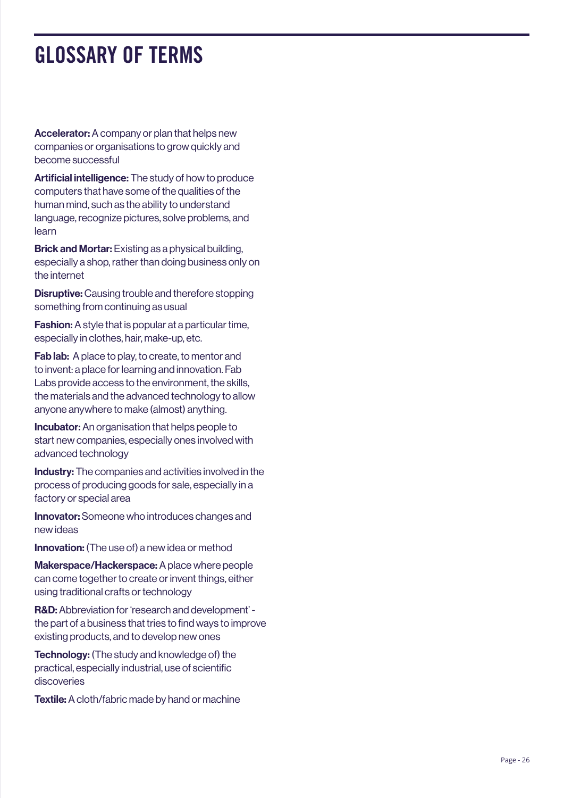### GLOSSARY OF TERMS

Accelerator: A company or plan that helps new companies or organisations to grow quickly and become successful

Artificial intelligence: The study of how to produce computers that have some of the qualities of the human mind, such as the ability to understand language, recognize pictures, solve problems, and learn

Brick and Mortar: Existing as a physical building, especially a shop, rather than doing business only on the internet

Disruptive: Causing trouble and therefore stopping something from continuing as usual

Fashion: A style that is popular at a particular time, especially in clothes, hair, make-up, etc.

Fab lab: A place to play, to create, to mentor and to invent: a place for learning and innovation. Fab Labs provide access to the environment, the skills, the materials and the advanced technology to allow anyone anywhere to make (almost) anything.

**Incubator:** An organisation that helps people to start new companies, especially ones involved with advanced technology

Industry: The companies and activities involved in the process of producing goods for sale, especially in a factory or special area

Innovator: Someone who introduces changes and new ideas

Innovation: (The use of) a new idea or method

Makerspace/Hackerspace: A place where people can come together to create or invent things, either using traditional crafts or technology

R&D: Abbreviation for 'research and development' the part of a business that tries to find ways to improve existing products, and to develop new ones

Technology: (The study and knowledge of) the practical, especially industrial, use of scientific discoveries

Textile: A cloth/fabric made by hand or machine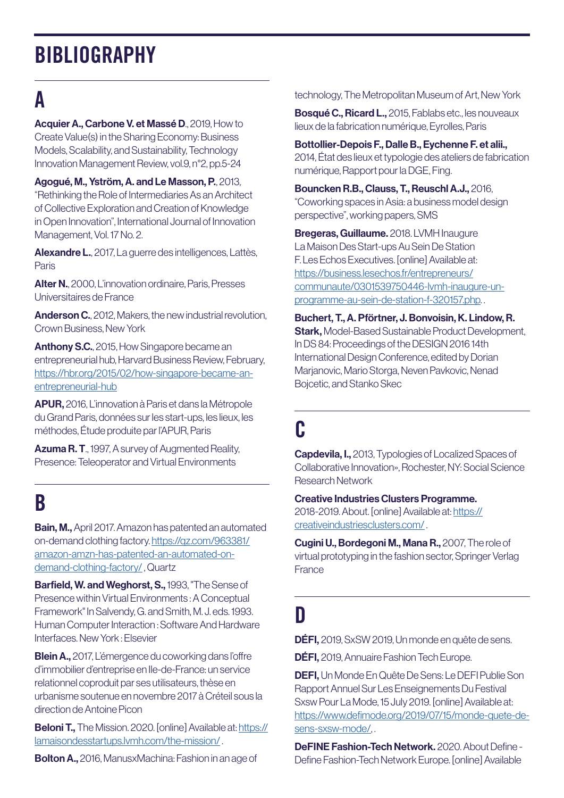### **BIBLIOGRAPHY**

## A

Acquier A., Carbone V. et Massé D., 2019, How to Create Value(s) in the Sharing Economy: Business Models, Scalability, and Sustainability, Technology Innovation Management Review, vol.9, n°2, pp.5-24

Agogué, M., Yström, A. and Le Masson, P., 2013, "Rethinking the Role of Intermediaries As an Architect of Collective Exploration and Creation of Knowledge in Open Innovation", International Journal of Innovation Management, Vol. 17 No. 2.

Alexandre L., 2017, La guerre des intelligences, Lattès, Paris

Alter N., 2000, L'innovation ordinaire, Paris, Presses Universitaires de France

Anderson C., 2012, Makers, the new industrial revolution, Crown Business, New York

Anthony S.C., 2015, How Singapore became an entrepreneurial hub, Harvard Business Review, February, [https://hbr.org/2015/02/how-singapore-became-an](https://hbr.org/2015/02/how-singapore-became-an-entrepreneurial-hub)[entrepreneurial-hub](https://hbr.org/2015/02/how-singapore-became-an-entrepreneurial-hub)

APUR, 2016, L'innovation à Paris et dans la Métropole du Grand Paris, données sur les start-ups, les lieux, les méthodes, Étude produite par l'APUR, Paris

Azuma R. T., 1997, A survey of Augmented Reality, Presence: Teleoperator and Virtual Environments

### B

Bain, M., April 2017. Amazon has patented an automated on-demand clothing factory. [https://qz.com/963381/](https://qz.com/963381/amazon-amzn-has-patented-an-automated-on-demand-clothing-factory/) [amazon-amzn-has-patented-an-automated-on](https://qz.com/963381/amazon-amzn-has-patented-an-automated-on-demand-clothing-factory/)[demand-clothing-factory/](https://qz.com/963381/amazon-amzn-has-patented-an-automated-on-demand-clothing-factory/) , Quartz

Barfield, W. and Weghorst, S., 1993, "The Sense of Presence within Virtual Environments : A Conceptual Framework" In Salvendy, G. and Smith, M. J. eds. 1993. Human Computer Interaction : Software And Hardware Interfaces. New York : Elsevier

Blein A., 2017, L'émergence du coworking dans l'offre d'immobilier d'entreprise en Ile-de-France: un service relationnel coproduit par ses utilisateurs, thèse en urbanisme soutenue en novembre 2017 à Créteil sous la direction de Antoine Picon

**Beloni T.,** The Mission. 2020. [online] Available at: [https://](https://lamaisondesstartups.lvmh.com/the-mission/) [lamaisondesstartups.lvmh.com/the-mission/](https://lamaisondesstartups.lvmh.com/the-mission/) .

**Bolton A.,** 2016, ManusxMachina: Fashion in an age of

technology, The Metropolitan Museum of Art, New York

Bosqué C., Ricard L., 2015, Fablabs etc., les nouveaux lieux de la fabrication numérique, Eyrolles, Paris

Bottollier-Depois F., Dalle B., Eychenne F. et alii., 2014, État des lieux et typologie des ateliers de fabrication numérique, Rapport pour la DGE, Fing.

Bouncken R.B., Clauss, T., Reuschl A.J., 2016, "Coworking spaces in Asia: a business model design perspective", working papers, SMS

Bregeras, Guillaume. 2018. LVMH Inaugure La Maison Des Start-ups Au Sein De Station F. Les Echos Executives. [online] Available at: [https://business.lesechos.fr/entrepreneurs/](https://business.lesechos.fr/entrepreneurs/communaute/0301539750446-lvmh-inaugure-un-programme-au-se) [communaute/0301539750446-lvmh-inaugure-un](https://business.lesechos.fr/entrepreneurs/communaute/0301539750446-lvmh-inaugure-un-programme-au-se)[programme-au-sein-de-station-f-320157.php](https://business.lesechos.fr/entrepreneurs/communaute/0301539750446-lvmh-inaugure-un-programme-au-se). .

Buchert, T., A. Pförtner, J. Bonvoisin, K. Lindow, R. **Stark, Model-Based Sustainable Product Development,** In DS 84: Proceedings of the DESIGN 2016 14th International Design Conference, edited by Dorian Marjanovic, Mario Storga, Neven Pavkovic, Nenad Bojcetic, and Stanko Skec

### C

Capdevila, I., 2013, Typologies of Localized Spaces of Collaborative Innovation», Rochester, NY: Social Science Research Network

Creative Industries Clusters Programme. 2018-2019. About. [online] Available at: [https://](https://creativeindustriesclusters.com/) [creativeindustriesclusters.com/](https://creativeindustriesclusters.com/) .

Cugini U., Bordegoni M., Mana R., 2007, The role of virtual prototyping in the fashion sector, Springer Verlag France

### D

DÉFI, 2019, SxSW 2019, Un monde en quête de sens.

**DÉFI,** 2019, Annuaire Fashion Tech Europe.

DEFI, Un Monde En Quête De Sens: Le DEFI Publie Son Rapport Annuel Sur Les Enseignements Du Festival Sxsw Pour La Mode, 15 July 2019. [online] Available at: [https://www.defimode.org/2019/07/15/monde-quete-de](https://www.defimode.org/2019/07/15/monde-quete-de-sens-sxsw-mode/)[sens-sxsw-mode/,](https://www.defimode.org/2019/07/15/monde-quete-de-sens-sxsw-mode/) .

DeFINE Fashion-Tech Network. 2020. About Define - Define Fashion-Tech Network Europe. [online] Available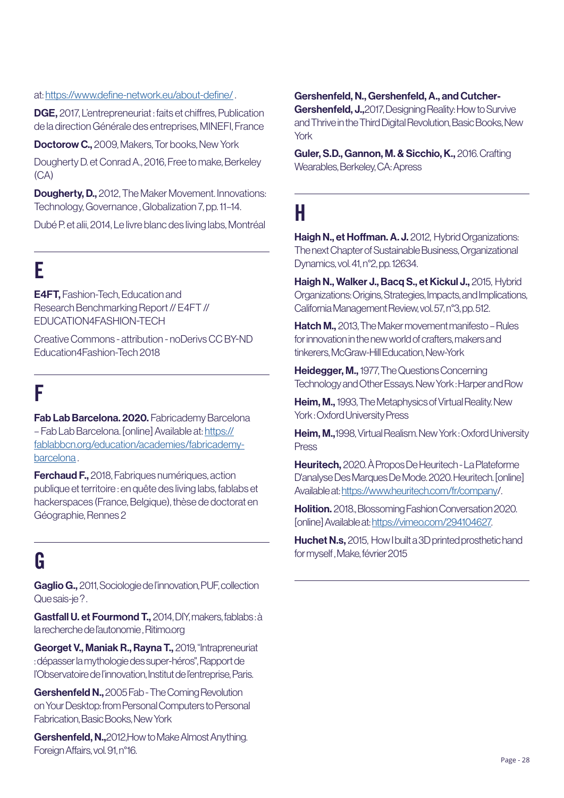#### at: <https://www.define-network.eu/about-define/> .

DGE, 2017, L'entrepreneuriat : faits et chiffres, Publication de la direction Générale des entreprises, MINEFI, France

Doctorow C., 2009, Makers, Tor books, New York

Dougherty D. et Conrad A., 2016, Free to make, Berkeley (CA)

**Dougherty, D.,** 2012. The Maker Movement. Innovations: Technology, Governance , Globalization 7, pp. 11–14.

Dubé P. et alii, 2014, Le livre blanc des living labs, Montréal

## E

E4FT, Fashion-Tech, Education and Research Benchmarking Report // E4FT // EDUCATION4FASHION-TECH

Creative Commons - attribution - noDerivs CC BY-ND Education4Fashion-Tech 2018

### F

Fab Lab Barcelona. 2020. Fabricademy Barcelona – Fab Lab Barcelona. [online] Available at: [https://](https://fablabbcn.org/education/academies/fabricademy-barcelona) [fablabbcn.org/education/academies/fabricademy](https://fablabbcn.org/education/academies/fabricademy-barcelona)[barcelona](https://fablabbcn.org/education/academies/fabricademy-barcelona) .

**Ferchaud F., 2018. Fabriques numériques, action** publique et territoire : en quête des living labs, fablabs et hackerspaces (France, Belgique), thèse de doctorat en Géographie, Rennes 2

### G

Gaglio G., 2011, Sociologie de l'innovation, PUF, collection Que sais-je?.

Gastfall U. et Fourmond T., 2014, DIY, makers, fablabs : à la recherche de l'autonomie , Ritimo.org

Georget V., Maniak R., Rayna T., 2019, "Intrapreneuriat : dépasser la mythologie des super-héros", Rapport de l'Observatoire de l'innovation, Institut de l'entreprise, Paris.

Gershenfeld N., 2005 Fab - The Coming Revolution on Your Desktop: from Personal Computers to Personal Fabrication, Basic Books, New York

Gershenfeld, N., 2012, How to Make Almost Anything. Foreign Affairs, vol. 91, n°16.

#### Gershenfeld, N., Gershenfeld, A., and Cutcher-

Gershenfeld, J., 2017, Designing Reality: How to Survive and Thrive in the Third Digital Revolution, Basic Books, New York

Guler, S.D., Gannon, M. & Sicchio, K., 2016. Crafting Wearables, Berkeley, CA: Apress

### H

Haigh N., et Hoffman. A. J. 2012, Hybrid Organizations: The next Chapter of Sustainable Business, Organizational Dynamics, vol. 41, n°2, pp. 12634.

Haigh N., Walker J., Bacg S., et Kickul J., 2015. Hybrid Organizations: Origins, Strategies, Impacts, and Implications, California Management Review, vol. 57, n°3, pp. 512.

Hatch M., 2013, The Maker movement manifesto – Rules for innovation in the new world of crafters, makers and tinkerers, McGraw-Hill Education, New-York

Heidegger, M., 1977, The Questions Concerning Technology and Other Essays. New York : Harper and Row

Heim, M., 1993, The Metaphysics of Virtual Reality. New York : Oxford University Press

Heim, M., 1998, Virtual Realism. New York: Oxford University Press

Heuritech, 2020. À Propos De Heuritech - La Plateforme D'analyse Des Marques De Mode. 2020. Heuritech. [online] Available at: [https://www.heuritech.com/fr/company/](https://www.heuritech.com/fr/company).

**Holition.** 2018., Blossoming Fashion Conversation 2020. [online] Available at: [https://vimeo.com/294104627.](https://vimeo.com/294104627)

Huchet N.s, 2015, How I built a 3D printed prosthetic hand for myself , Make, février 2015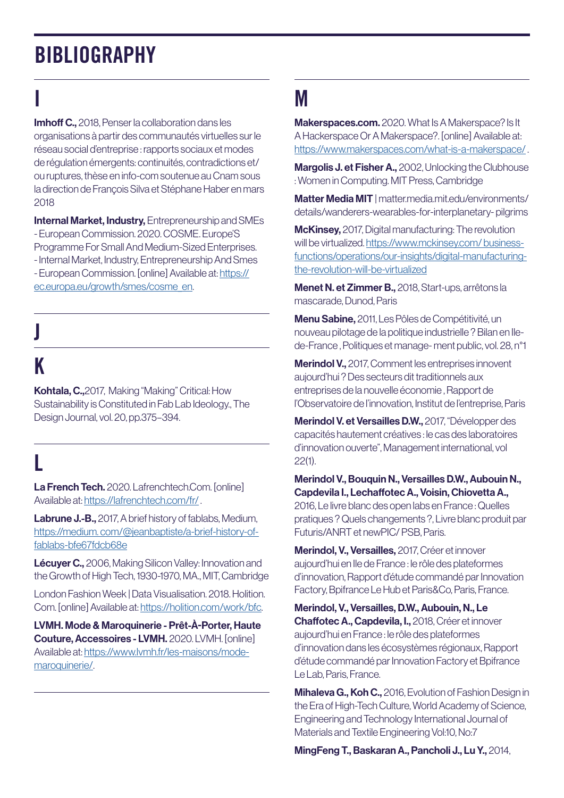### BIBLIOGRAPHY

## I

Imhoff C., 2018, Penser la collaboration dans les organisations à partir des communautés virtuelles sur le réseau social d'entreprise : rapports sociaux et modes de régulation émergents: continuités, contradictions et/ ou ruptures, thèse en info-com soutenue au Cnam sous la direction de François Silva et Stéphane Haber en mars 2018

**Internal Market, Industry, Entrepreneurship and SMEs** - European Commission. 2020. COSME. Europe'S Programme For Small And Medium-Sized Enterprises. - Internal Market, Industry, Entrepreneurship And Smes - European Commission. [online] Available at: [https://](https://ec.europa.eu/growth/smes/cosme_en) [ec.europa.eu/growth/smes/cosme\\_en](https://ec.europa.eu/growth/smes/cosme_en).

# J

### K

Kohtala, C.,2017, Making "Making" Critical: How Sustainability is Constituted in Fab Lab Ideology., The Design Journal, vol. 20, pp.375–394.

### L

La French Tech. 2020. Lafrenchtech.Com. [online] Available at: <https://lafrenchtech.com/fr/>.

Labrune J.-B., 2017, A brief history of fablabs, Medium, [https://medium. com/@jeanbaptiste/a-brief-history-of](https://medium. com/@jeanbaptiste/a-brief-history-of-fablabs-bfe67fdcb68e)[fablabs-bfe67fdcb68e](https://medium. com/@jeanbaptiste/a-brief-history-of-fablabs-bfe67fdcb68e)

Lécuyer C., 2006, Making Silicon Valley: Innovation and the Growth of High Tech, 1930-1970, MA., MIT, Cambridge

London Fashion Week | Data Visualisation. 2018. Holition. Com. [online] Available at: [https://holition.com/work/bfc.](https://holition.com/work/bfc)

LVMH. Mode & Maroquinerie - Prêt-À-Porter, Haute Couture, Accessoires - LVMH. 2020. LVMH. [online] Available at: [https://www.lvmh.fr/les-maisons/mode](https://www.lvmh.fr/les-maisons/mode-maroquinerie/)[maroquinerie/](https://www.lvmh.fr/les-maisons/mode-maroquinerie/).

### M

Makerspaces.com. 2020. What Is A Makerspace? Is It A Hackerspace Or A Makerspace?. [online] Available at: <https://www.makerspaces.com/what-is-a-makerspace/> .

Margolis J. et Fisher A., 2002, Unlocking the Clubhouse : Women in Computing. MIT Press, Cambridge

Matter Media MIT | matter.media.mit.edu/environments/ details/wanderers-wearables-for-interplanetary- pilgrims

**McKinsey,** 2017, Digital manufacturing: The revolution will be virtualized. [https://www.mckinsey.com/ business](https://www.mckinsey.com/ business-functions/operations/our-insights/digital-manufacturing-the-revol)[functions/operations/our-insights/digital-manufacturing](https://www.mckinsey.com/ business-functions/operations/our-insights/digital-manufacturing-the-revol)[the-revolution-will-be-virtualized](https://www.mckinsey.com/ business-functions/operations/our-insights/digital-manufacturing-the-revol)

Menet N. et Zimmer B., 2018, Start-ups, arrêtons la mascarade, Dunod, Paris

Menu Sabine, 2011, Les Pôles de Compétitivité, un nouveau pilotage de la politique industrielle ? Bilan en Ilede-France , Politiques et manage- ment public, vol. 28, n°1

Merindol V., 2017, Comment les entreprises innovent aujourd'hui ? Des secteurs dit traditionnels aux entreprises de la nouvelle économie , Rapport de l'Observatoire de l'innovation, Institut de l'entreprise, Paris

Merindol V. et Versailles D.W., 2017, "Développer des capacités hautement créatives : le cas des laboratoires d'innovation ouverte", Management international, vol 22(1).

Merindol V., Bouquin N., Versailles D.W., Aubouin N., Capdevila I., Lechaffotec A., Voisin, Chiovetta A., 2016, Le livre blanc des open labs en France : Quelles pratiques ? Quels changements ?, Livre blanc produit par Futuris/ANRT et newPIC/ PSB, Paris.

Merindol, V., Versailles, 2017, Créer et innover aujourd'hui en Ile de France : le rôle des plateformes d'innovation, Rapport d'étude commandé par Innovation Factory, Bpifrance Le Hub et Paris&Co, Paris, France.

Merindol, V., Versailles, D.W., Aubouin, N., Le Chaffotec A., Capdevila, I., 2018, Créer et innover aujourd'hui en France : le rôle des plateformes d'innovation dans les écosystèmes régionaux, Rapport d'étude commandé par Innovation Factory et Bpifrance Le Lab, Paris, France.

Mihaleva G., Koh C., 2016, Evolution of Fashion Design in the Era of High-Tech Culture, World Academy of Science, Engineering and Technology International Journal of Materials and Textile Engineering Vol:10, No:7

MingFeng T., Baskaran A., Pancholi J., Lu Y., 2014,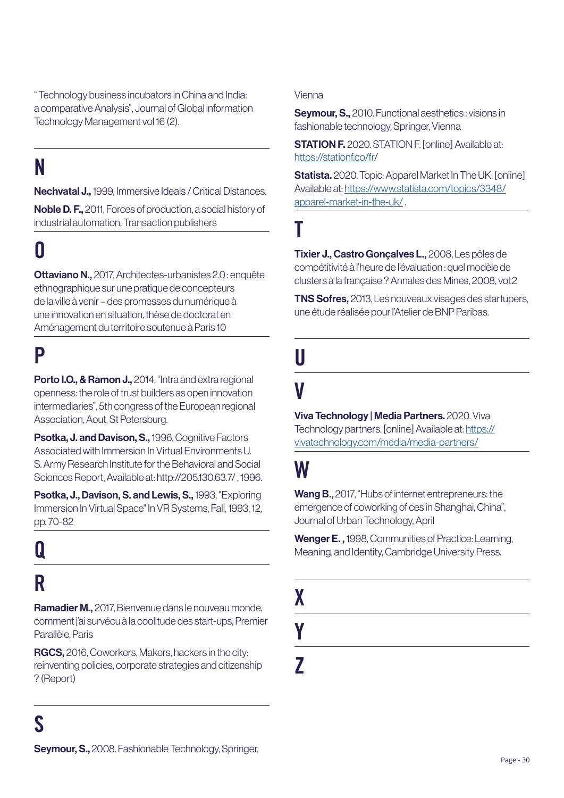" Technology business incubators in China and India: a comparative Analysis", Journal of Global information Technology Management vol 16 (2).

### N

Nechvatal J., 1999, Immersive Ideals / Critical Distances.

Noble D. F., 2011, Forces of production, a social history of industrial automation, Transaction publishers

### O

Ottaviano N., 2017, Architectes-urbanistes 2.0 : enquête ethnographique sur une pratique de concepteurs de la ville à venir – des promesses du numérique à une innovation en situation, thèse de doctorat en Aménagement du territoire soutenue à Paris 10

### P

Porto I.O., & Ramon J., 2014, "Intra and extra regional openness: the role of trust builders as open innovation intermediaries", 5th congress of the European regional Association, Aout, St Petersburg.

Psotka, J. and Davison, S., 1996, Cognitive Factors Associated with Immersion In Virtual Environments U. S. Army Research Institute for the Behavioral and Social Sciences Report, Available at: http://205.130.63.7/ , 1996.

Psotka, J., Davison, S. and Lewis, S., 1993, "Exploring Immersion In Virtual Space" In VR Systems, Fall, 1993, 12, pp. 70-82

### Q R

Ramadier M., 2017, Bienvenue dans le nouveau monde, comment j'ai survécu à la coolitude des start-ups, Premier Parallèle, Paris

RGCS, 2016, Coworkers, Makers, hackers in the city: reinventing policies, corporate strategies and citizenship ? (Report)

Seymour, S., 2010. Functional aesthetics : visions in fashionable technology, Springer, Vienna

**STATION F.** 2020. STATION F. [online] Available at: <https://stationf.co/fr>/

Statista. 2020. Topic: Apparel Market In The UK. [online] Available at: [https://www.statista.com/topics/3348/](https://www.statista.com/topics/3348/apparel-market-in-the-uk/) [apparel-market-in-the-uk/](https://www.statista.com/topics/3348/apparel-market-in-the-uk/) .

T

Tixier J., Castro Gonçalves L., 2008, Les pôles de compétitivité à l'heure de l'évaluation : quel modèle de clusters à la française ? Annales des Mines, 2008, vol.2

TNS Sofres, 2013, Les nouveaux visages des startupers, une étude réalisée pour l'Atelier de BNP Paribas.

# U

### V

Viva Technology | Media Partners. 2020. Viva Technology partners. [online] Available at: [https://](https://vivatechnology.com/media/media-partners/) [vivatechnology.com/media/media-partners/](https://vivatechnology.com/media/media-partners/)

### W

Wang B., 2017, "Hubs of internet entrepreneurs: the emergence of coworking of ces in Shanghai, China". Journal of Urban Technology, April

Wenger E., 1998, Communities of Practice: Learning, Meaning, and Identity, Cambridge University Press.

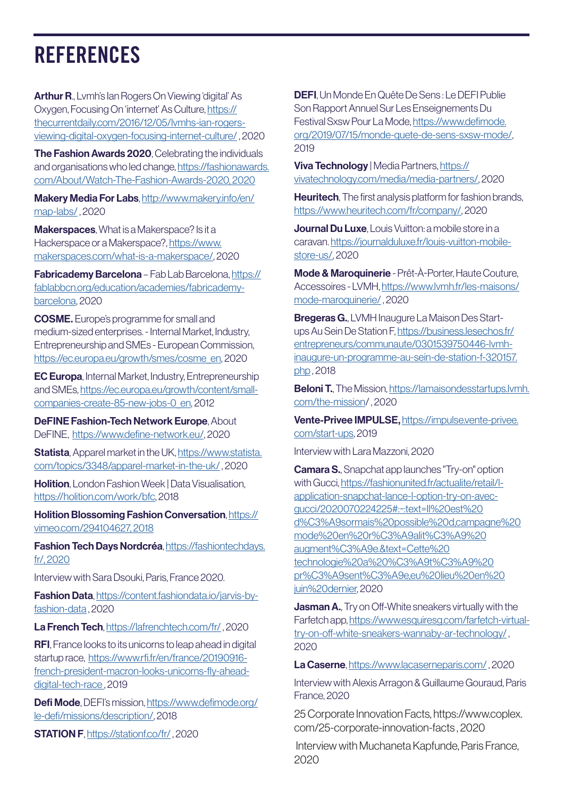### **REFERENCES**

Arthur R., Lvmh's Ian Rogers On Viewing 'digital' As Oxygen, Focusing On 'internet' As Culture, [https://](https://thecurrentdaily.com/2016/12/05/lvmhs-ian-rogers-viewing-digital-oxygen-focusing-internet-cul) [thecurrentdaily.com/2016/12/05/lvmhs-ian-rogers](https://thecurrentdaily.com/2016/12/05/lvmhs-ian-rogers-viewing-digital-oxygen-focusing-internet-cul)[viewing-digital-oxygen-focusing-internet-culture/](https://thecurrentdaily.com/2016/12/05/lvmhs-ian-rogers-viewing-digital-oxygen-focusing-internet-cul) , 2020

The Fashion Awards 2020, Celebrating the individuals and organisations who led change, [https://fashionawards.](https://fashionawards.com/About/Watch-The-Fashion-Awards-2020, 2020) [com/About/Watch-The-Fashion-Awards-2020, 2020](https://fashionawards.com/About/Watch-The-Fashion-Awards-2020, 2020)

Makery Media For Labs, [http://www.makery.info/en/](http://www.makery.info/en/map-labs/) [map-labs/](http://www.makery.info/en/map-labs/) , 2020

**Makerspaces**, What is a Makerspace? Is it a Hackerspace or a Makerspace?, [https://www.](https://www.makerspaces.com/what-is-a-makerspace/) [makerspaces.com/what-is-a-makerspace/](https://www.makerspaces.com/what-is-a-makerspace/), 2020

Fabricademy Barcelona – Fab Lab Barcelona, [https://](https://fablabbcn.org/education/academies/fabricademy-barcelona) [fablabbcn.org/education/academies/fabricademy](https://fablabbcn.org/education/academies/fabricademy-barcelona)[barcelona](https://fablabbcn.org/education/academies/fabricademy-barcelona), 2020

COSME. Europe's programme for small and medium-sized enterprises. - Internal Market, Industry, Entrepreneurship and SMEs - European Commission, [https://ec.europa.eu/growth/smes/cosme\\_en](https://ec.europa.eu/growth/smes/cosme_en), 2020

EC Europa, Internal Market, Industry, Entrepreneurship and SMEs, [https://ec.europa.eu/growth/content/small](https://ec.europa.eu/growth/content/small-companies-create-85-new-jobs-0_en)[companies-create-85-new-jobs-0\\_en,](https://ec.europa.eu/growth/content/small-companies-create-85-new-jobs-0_en) 2012

DeFINE Fashion-Tech Network Europe, About DeFINE, <https://www.define-network.eu/>, 2020

Statista, Apparel market in the UK, [https://www.statista.](https://www.statista.com/topics/3348/apparel-market-in-the-uk/) [com/topics/3348/apparel-market-in-the-uk/](https://www.statista.com/topics/3348/apparel-market-in-the-uk/) , 2020

**Holition**, London Fashion Week | Data Visualisation, [https://holition.com/work/bfc,](https://holition.com/work/bfc) 2018

Holition Blossoming Fashion Conversation, [https://](https://vimeo.com/294104627, 2018) [vimeo.com/294104627, 2018](https://vimeo.com/294104627, 2018)

Fashion Tech Days Nordcréa, [https://fashiontechdays.](https://fashiontechdays.fr/, 2020) [fr/, 2020](https://fashiontechdays.fr/, 2020)

Interview with Sara Dsouki, Paris, France 2020.

Fashion Data, [https://content.fashiondata.io/jarvis-by](https://content.fashiondata.io/jarvis-by-fashion-data)[fashion-data](https://content.fashiondata.io/jarvis-by-fashion-data) , 2020

La French Tech,<https://lafrenchtech.com/fr/>, 2020

RFI, France looks to its unicorns to leap ahead in digital startup race, [https://www.rfi.fr/en/france/20190916](https://www.rfi.fr/en/france/20190916-french-president-macron-looks-unicorns-fly-ahead-digital-tech-) [french-president-macron-looks-unicorns-fly-ahead](https://www.rfi.fr/en/france/20190916-french-president-macron-looks-unicorns-fly-ahead-digital-tech-)[digital-tech-race ,](https://www.rfi.fr/en/france/20190916-french-president-macron-looks-unicorns-fly-ahead-digital-tech-) 2019

Defi Mode, DEFI's mission, [https://www.defimode.org/](https://www.defimode.org/le-defi/missions/description/) [le-defi/missions/description/,](https://www.defimode.org/le-defi/missions/description/) 2018

STATION F, <https://stationf.co/fr/> , 2020

DEFI, Un Monde En Quête De Sens : Le DEFI Publie Son Rapport Annuel Sur Les Enseignements Du Festival Sxsw Pour La Mode, [https://www.defimode.](https://www.defimode.org/2019/07/15/monde-quete-de-sens-sxsw-mode/) [org/2019/07/15/monde-quete-de-sens-sxsw-mode/,](https://www.defimode.org/2019/07/15/monde-quete-de-sens-sxsw-mode/) 2019

Viva Technology | Media Partners, [https://](https://vivatechnology.com/media/media-partners/) [vivatechnology.com/media/media-partners/,](https://vivatechnology.com/media/media-partners/) 2020

Heuritech, The first analysis platform for fashion brands, [https://www.heuritech.com/fr/company/,](https://www.heuritech.com/fr/company/) 2020

**Journal Du Luxe**, Louis Vuitton: a mobile store in a caravan. [https://journalduluxe.fr/louis-vuitton-mobile](https://journalduluxe.fr/louis-vuitton-mobile-store-us/)[store-us/](https://journalduluxe.fr/louis-vuitton-mobile-store-us/), 2020

Mode & Maroquinerie - Prêt-À-Porter, Haute Couture, Accessoires - LVMH, [https://www.lvmh.fr/les-maisons/](https://www.lvmh.fr/les-maisons/mode-maroquinerie/) [mode-maroquinerie/](https://www.lvmh.fr/les-maisons/mode-maroquinerie/) , 2020

Bregeras G., LVMH Inaugure La Maison Des Startups Au Sein De Station F, [https://business.lesechos.fr/](https://business.lesechos.fr/entrepreneurs/communaute/0301539750446-lvmh-inaugure-un-programme-au-se) [entrepreneurs/communaute/0301539750446-lvmh](https://business.lesechos.fr/entrepreneurs/communaute/0301539750446-lvmh-inaugure-un-programme-au-se)[inaugure-un-programme-au-sein-de-station-f-320157.](https://business.lesechos.fr/entrepreneurs/communaute/0301539750446-lvmh-inaugure-un-programme-au-se) [php](https://business.lesechos.fr/entrepreneurs/communaute/0301539750446-lvmh-inaugure-un-programme-au-se) , 2018

Beloni T., The Mission, [https://lamaisondesstartups.lvmh.](https://lamaisondesstartups.lvmh.com/the-mission) [com/the-mission/](https://lamaisondesstartups.lvmh.com/the-mission) , 2020

Vente-Privee IMPULSE, [https://impulse.vente-privee.](https://impulse.vente-privee.com/start-ups) [com/start-ups](https://impulse.vente-privee.com/start-ups), 2019

Interview with Lara Mazzoni, 2020

Camara S., Snapchat app launches "Try-on" option with Gucci, [https://fashionunited.fr/actualite/retail/l](https://fashionunited.fr/actualite/retail/l-application-snapchat-lance-l-option-try-on-avec-gucci/20)[application-snapchat-lance-l-option-try-on-avec](https://fashionunited.fr/actualite/retail/l-application-snapchat-lance-l-option-try-on-avec-gucci/20)[gucci/2020070224225#:~:text=Il%20est%20](https://fashionunited.fr/actualite/retail/l-application-snapchat-lance-l-option-try-on-avec-gucci/20) [d%C3%A9sormais%20possible%20d,campagne%20](https://fashionunited.fr/actualite/retail/l-application-snapchat-lance-l-option-try-on-avec-gucci/20) [mode%20en%20r%C3%A9alit%C3%A9%20](https://fashionunited.fr/actualite/retail/l-application-snapchat-lance-l-option-try-on-avec-gucci/20) [augment%C3%A9e.&text=Cette%20](https://fashionunited.fr/actualite/retail/l-application-snapchat-lance-l-option-try-on-avec-gucci/20) [technologie%20a%20%C3%A9t%C3%A9%20](https://fashionunited.fr/actualite/retail/l-application-snapchat-lance-l-option-try-on-avec-gucci/20) [pr%C3%A9sent%C3%A9e,eu%20lieu%20en%20](https://fashionunited.fr/actualite/retail/l-application-snapchat-lance-l-option-try-on-avec-gucci/20) [juin%20dernier,](https://fashionunited.fr/actualite/retail/l-application-snapchat-lance-l-option-try-on-avec-gucci/20) 2020

**Jasman A.**, Try on Off-White sneakers virtually with the Farfetch app, [https://www.esquiresg.com/farfetch-virtual](https://www.esquiresg.com/farfetch-virtual-try-on-off-white-sneakers-wannaby-ar-technology/)[try-on-off-white-sneakers-wannaby-ar-technology/](https://www.esquiresg.com/farfetch-virtual-try-on-off-white-sneakers-wannaby-ar-technology/) , 2020

La Caserne,<https://www.lacaserneparis.com/>, 2020

Interview with Alexis Arragon & Guillaume Gouraud, Paris France, 2020

25 Corporate Innovation Facts, https://www.coplex. com/25-corporate-innovation-facts , 2020

 Interview with Muchaneta Kapfunde, Paris France, 2020